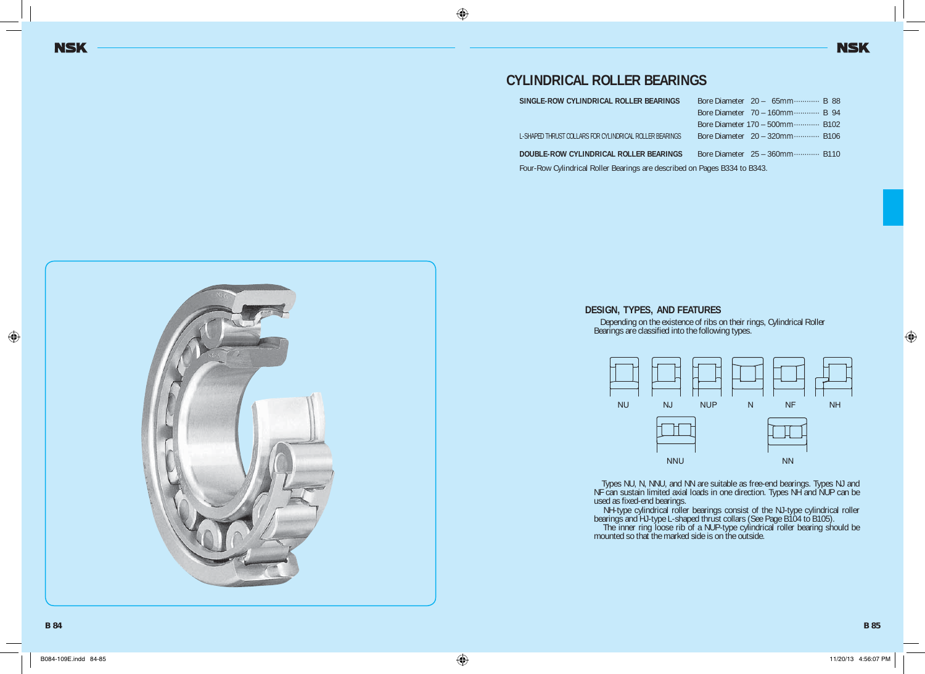# **CYLINDRICAL ROLLER BEARINGS**

| SINGLE-ROW CYLINDRICAL ROLLER BEARINGS                  | Bore Diameter 20 - 65mm B 88     |  |
|---------------------------------------------------------|----------------------------------|--|
|                                                         | Bore Diameter 70 - 160mm B 94    |  |
|                                                         | Bore Diameter 170 - 500mm B102   |  |
| L-SHAPED THRUST COLLARS FOR CYLINDRICAL ROLLER BEARINGS | Bore Diameter 20 - 320mm B106    |  |
| DOUBLE-ROW CYLINDRICAL ROLLER BEARINGS                  | Bore Diameter $25 - 360$ mm B110 |  |

Four-Row Cylindrical Roller Bearings are described on Pages B334 to B343.

#### **DESIGN, TYPES, AND FEATURES**

 Depending on the existence of ribs on their rings, Cylindrical Roller Bearings are classified into the following types.



 Types NU, N, NNU, and NN are suitable as free-end bearings. Types NJ and NF can sustain limited axial loads in one direction. Types NH and NUP can be used as fixed-end bearings.

 NH-type cylindrical roller bearings consist of the NJ-type cylindrical roller bearings and HJ-type L-shaped thrust collars (See Page B104 to B105).

 The inner ring loose rib of a NUP-type cylindrical roller bearing should be mounted so that the marked side is on the outside.

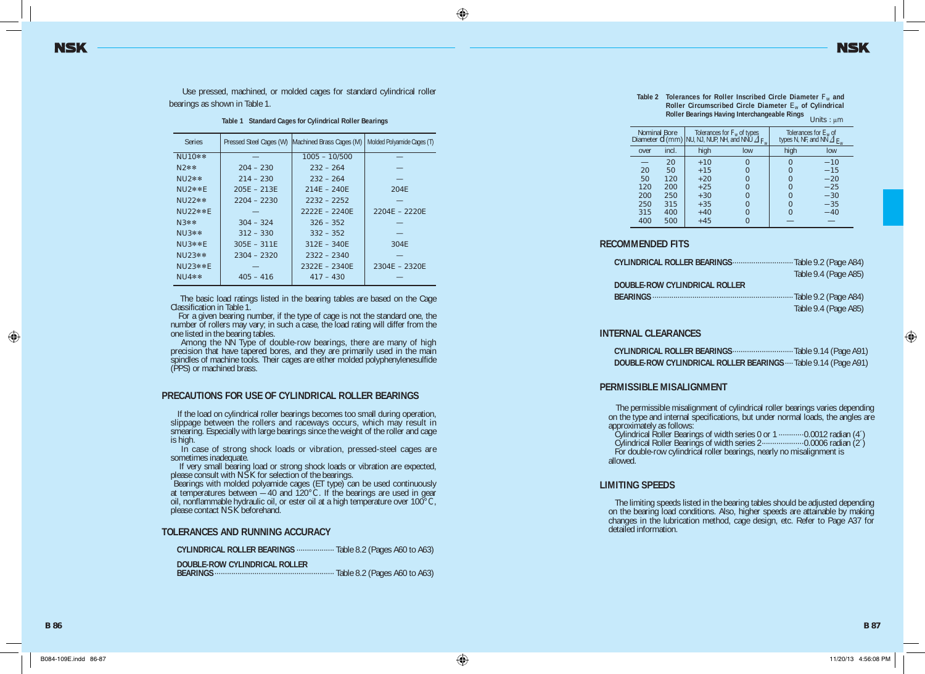Use pressed, machined, or molded cages for standard cylindrical roller bearings as shown in Table 1.

**Table 1 Standard Cages for Cylindrical Roller Bearings**

| <b>Series</b> |               | Pressed Steel Cages (W) Machined Brass Cages (M) | Molded Polyamide Cages (T) |
|---------------|---------------|--------------------------------------------------|----------------------------|
| $NU10**$      |               | $1005 - 10/500$                                  |                            |
| N2**          | $204 - 230$   | $232 - 264$                                      |                            |
| $NU2**$       | $214 - 230$   | $232 - 264$                                      |                            |
| NU2**F        | $205F - 213F$ | $214F - 240F$                                    | 204F                       |
| $NU22**$      | $2204 - 2230$ | $2232 - 2252$                                    |                            |
| NU22**F       |               | $2222F - 2240F$                                  | $2204F - 2220F$            |
| $N3$ **       | $304 - 324$   | $326 - 352$                                      |                            |
| $NU3**$       | $312 - 330$   | $332 - 352$                                      |                            |
| $NU3**F$      | $305F - 311F$ | $312F - 340F$                                    | 304F                       |
| $NU23**$      | $2304 - 2320$ | $2322 - 2340$                                    |                            |
| $NU$ 23**F    |               | $2322F - 2340F$                                  | $2304F - 2320F$            |
| $NU4**$       | $405 - 416$   | $417 - 430$                                      |                            |

 The basic load ratings listed in the bearing tables are based on the Cage Classification in Table 1.

 For a given bearing number, if the type of cage is not the standard one, the number of rollers may vary; in such a case, the load rating will differ from the one listed in the bearing tables.

Among the NN Type of double-row bearings, there are many of high precision that have tapered bores, and they are primarily used in the main spindles of machine tools. Their cages are either molded polyphenylenesulfide (PPS) or machined brass.

#### **PRECAUTIONS FOR USE OF CYLINDRICAL ROLLER BEARINGS**

 If the load on cylindrical roller bearings becomes too small during operation, slippage between the rollers and raceways occurs, which may result in smearing. Especially with large bearings since the weight of the roller and cage is high.

 In case of strong shock loads or vibration, pressed-steel cages are sometimes inadequate.

 If very small bearing load or strong shock loads or vibration are expected, please consult with NSK for selection of the bearings.

 Bearings with molded polyamide cages (ET type) can be used continuously at temperatures between — 40 and 120°C. If the bearings are used in gear oil, nonflammable hydraulic oil, or ester oil at a high temperature over 100°C, please contact NSK beforehand.

#### **TOLERANCES AND RUNNING ACCURACY**

**CYLINDRICAL ROLLER BEARINGS** ·················· Table 8.2 (Pages A60 to A63)

**DOUBLE-ROW CYLINDRICAL ROLLER** 

 **BEARINGS** ························································· Table 8.2 (Pages A60 to A63)

**Table 2 Tolerances for Roller Inscribed Circle Diameter** *F*w **and Roller Circumscribed Circle Diameter** *E*w **of Cylindrical Roller Bearings Having Interchangeable Rings** Units : μm

|      | Nominal Bore | Tolerances for $F_w$ of types<br>Diameter $d$ (mm) NU, NJ, NUP, NH, and NNU $\Delta_{F_{ur}}$ |     | Tolerances for $E_w$ of<br>types N, NF, and NN $\Delta$ $E_{\rm m}$ |       |  |  |
|------|--------------|-----------------------------------------------------------------------------------------------|-----|---------------------------------------------------------------------|-------|--|--|
| over | incl.        | high                                                                                          | low | high                                                                | low   |  |  |
|      | 20           | $+10$                                                                                         |     |                                                                     | $-10$ |  |  |
| 20   | 50           | $+15$                                                                                         |     |                                                                     | $-15$ |  |  |
| 50   | 120          | $+20$                                                                                         |     |                                                                     | $-20$ |  |  |
| 120  | 200          | $+25$                                                                                         |     |                                                                     | $-25$ |  |  |
| 200  | 250          | $+30$                                                                                         |     |                                                                     | $-30$ |  |  |
| 250  | 315          | $+35$                                                                                         |     |                                                                     | $-35$ |  |  |
| 315  | 400          | $+40$                                                                                         |     |                                                                     | $-40$ |  |  |
| 400  | 500          | $+45$                                                                                         |     |                                                                     |       |  |  |

#### **RECOMMENDED FITS**

|                               | Table 9.4 (Page A85) |
|-------------------------------|----------------------|
| DOUBLE-ROW CYLINDRICAL ROLLER |                      |
|                               |                      |
|                               | Table 9.4 (Page A85) |

#### **INTERNAL CLEARANCES**

| DOUBLE-ROW CYLINDRICAL ROLLER BEARINGS Table 9.14 (Page A91) |  |  |
|--------------------------------------------------------------|--|--|

#### **PERMISSIBLE MISALIGNMENT**

 The permissible misalignment of cylindrical roller bearings varies depending on the type and internal specifications, but under normal loads, the angles are approximately as follows:

Cylindrical Roller Bearings of width series 0 or 1 ············0.0012 radian (4´)

 Cylindrical Roller Bearings of width series 2 ····················0.0006 radian (2´) For double-row cylindrical roller bearings, nearly no misalignment is allowed.

#### **LIMITING SPEEDS**

 The limiting speeds listed in the bearing tables should be adjusted depending on the bearing load conditions. Also, higher speeds are attainable by making changes in the lubrication method, cage design, etc. Refer to Page A37 for detailed information.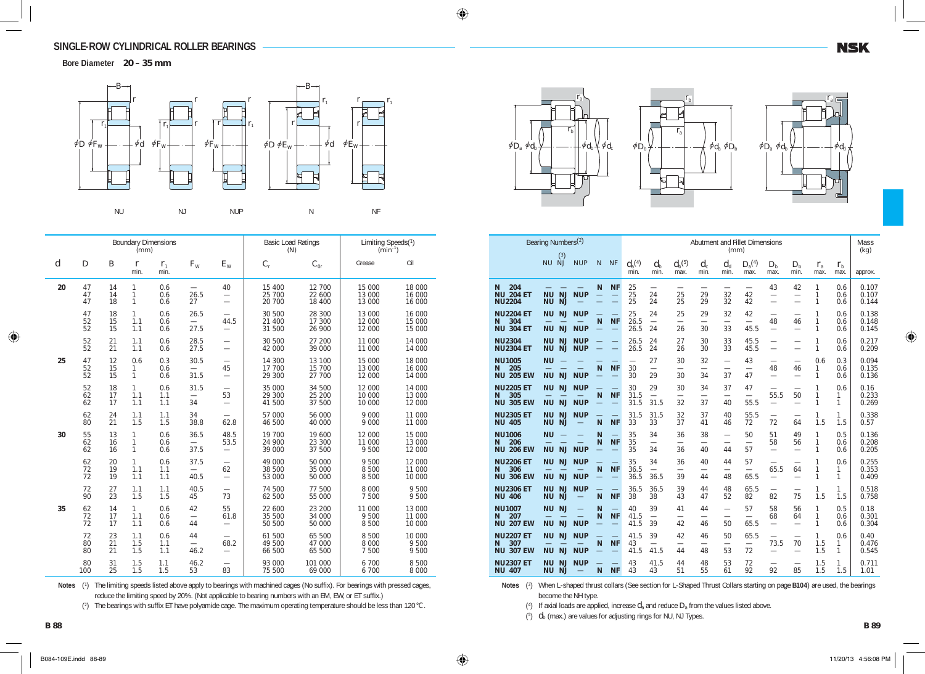**Bore Diameter 20 – 35 mm**



|                  |                |                | (mm)                              | <b>Boundary Dimensions</b> |                                          |                                                                      | <b>Basic Load Ratings</b><br>(N) |                            | Limiting Speeds(1)<br>$(min^{-1})$ |                            |  |
|------------------|----------------|----------------|-----------------------------------|----------------------------|------------------------------------------|----------------------------------------------------------------------|----------------------------------|----------------------------|------------------------------------|----------------------------|--|
| $\boldsymbol{d}$ | D              | B              | $\boldsymbol{r}$<br>min.          | $r_{1}$<br>min.            | $F_{W}$                                  | $E_{\rm W}$                                                          | $C_{\rm r}$                      | $C_{0r}$                   | Grease                             | Oil                        |  |
| 20               | 47<br>47<br>47 | 14<br>14<br>18 | 1<br>1<br>$\mathbf{1}$            | 0.6<br>0.6<br>0.6          | 26.5<br>27                               | 40<br>$\overline{\phantom{0}}$                                       | 15 400<br>25 700<br>20 700       | 12 700<br>22 600<br>18 400 | 15 000<br>13 000<br>13 000         | 18 000<br>16 000<br>16 000 |  |
|                  | 47<br>52<br>52 | 18<br>15<br>15 | 1<br>1.1<br>1.1                   | 0.6<br>0.6<br>0.6          | 26.5<br>27.5                             | $\overline{\phantom{0}}$<br>44.5<br>$\overbrace{\phantom{12322111}}$ | 30 500<br>21 400<br>31 500       | 28 300<br>17 300<br>26 900 | 13 000<br>12 000<br>12 000         | 16 000<br>15 000<br>15 000 |  |
|                  | 52<br>52       | 21<br>21       | 1.1<br>1.1                        | 0.6<br>0.6                 | 28.5<br>27.5                             | $\overline{\phantom{0}}$                                             | 30 500<br>42 000                 | 27 200<br>39 000           | 11 000<br>11 000                   | 14 000<br>14 000           |  |
| 25               | 47<br>52<br>52 | 12<br>15<br>15 | 0.6<br>1<br>$\mathbf{1}$          | 0.3<br>0.6<br>0.6          | 30.5<br>31.5                             | $\overline{\phantom{0}}$<br>45<br>$\overline{\phantom{0}}$           | 14 300<br>17 700<br>29 300       | 13 100<br>15 700<br>27 700 | 15 000<br>13 000<br>12 000         | 18 000<br>16 000<br>14 000 |  |
|                  | 52<br>62<br>62 | 18<br>17<br>17 | $\mathbf{1}$<br>1.1<br>1.1        | 0.6<br>1.1<br>1.1          | 31.5<br>34                               | 53<br>$\overline{\phantom{0}}$                                       | 35 000<br>29 300<br>41 500       | 34 500<br>25 200<br>37 500 | 12 000<br>10 000<br>10 000         | 14 000<br>13 000<br>12 000 |  |
|                  | 62<br>80       | 24<br>21       | 1.1<br>1.5                        | 1.1<br>1.5                 | 34<br>38.8                               | 62.8                                                                 | 57 000<br>46 500                 | 56 000<br>40 000           | 9 000<br>9 0 0 0                   | 11 000<br>11 000           |  |
| 30               | 55<br>62<br>62 | 13<br>16<br>16 | 1<br>$\mathbf{1}$<br>$\mathbf{1}$ | 0.6<br>0.6<br>0.6          | 36.5<br>$\overline{\phantom{0}}$<br>37.5 | 48.5<br>53.5<br>$\overline{\phantom{0}}$                             | 19 700<br>24 900<br>39 000       | 19 600<br>23 300<br>37 500 | 12 000<br>11 000<br>9 500          | 15 000<br>13 000<br>12 000 |  |
|                  | 62<br>72<br>72 | 20<br>19<br>19 | $\mathbf{1}$<br>1.1<br>1.1        | 0.6<br>1.1<br>1.1          | 37.5<br>40.5                             | $\overline{\phantom{0}}$<br>62<br>$\overline{\phantom{0}}$           | 49 000<br>38 500<br>53 000       | 50 000<br>35 000<br>50 000 | 9 500<br>8 500<br>8 500            | 12 000<br>11 000<br>10 000 |  |
|                  | 72<br>90       | 27<br>23       | 1.1<br>1.5                        | 1.1<br>1.5                 | 40.5<br>45                               | $\overline{\phantom{0}}$<br>73                                       | 74 500<br>62 500                 | 77 500<br>55 000           | 8 0 0 0<br>7 500                   | 9 500<br>9 500             |  |
| 35               | 62<br>72<br>72 | 14<br>17<br>17 | $\mathbf{1}$<br>1.1<br>1.1        | 0.6<br>0.6<br>0.6          | 42<br>$\overline{\phantom{0}}$<br>44     | 55<br>61.8<br>$\overline{\phantom{0}}$                               | 22 600<br>35 500<br>50 500       | 23 200<br>34 000<br>50 000 | 11 000<br>9 500<br>8 500           | 13 000<br>11 000<br>10 000 |  |
|                  | 72<br>80<br>80 | 23<br>21<br>21 | 1.1<br>1.5<br>1.5                 | 0.6<br>1.1<br>1.1          | 44<br>$\overline{\phantom{0}}$<br>46.2   | 68.2                                                                 | 61 500<br>49 500<br>66 500       | 65 500<br>47 000<br>65 500 | 8 500<br>8 0 0 0<br>7 500          | 10 000<br>9 500<br>9 500   |  |
|                  | 80<br>100      | 31<br>25       | 1.5<br>1.5                        | 1.1<br>1.5                 | 46.2<br>53                               | 83                                                                   | 93 000<br>75 500                 | 101 000<br>69 000          | 6 700<br>6 700                     | 8 500<br>8 0 0 0           |  |

Notes (<sup>1</sup>) The limiting speeds listed above apply to bearings with machined cages (No suffix). For bearings with pressed cages, reduce the limiting speed by 20%. (Not applicable to bearing numbers with an EM, EW, or ET suffix.)

(2) The bearings with suffix ET have polyamide cage. The maximum operating temperature should be less than 120°C.





|                                                  | Bearing Numbers <sup>(2)</sup><br>(3)                           |                                        |        |                                       |                                      |                                        |                                      | (mm)            | Abutment and Fillet Dimensions       |                                        |                                                            |                                      |                     | Mass<br>(kg)        |                         |
|--------------------------------------------------|-----------------------------------------------------------------|----------------------------------------|--------|---------------------------------------|--------------------------------------|----------------------------------------|--------------------------------------|-----------------|--------------------------------------|----------------------------------------|------------------------------------------------------------|--------------------------------------|---------------------|---------------------|-------------------------|
|                                                  | <b>NU</b><br><b>NJ</b>                                          | <b>NUP</b>                             | N      | <b>NF</b>                             | $d_{\rm a}^{(4)}$<br>min.            | $d_{\rm b}$<br>min.                    | $d_{\rm h}{}^{(5)}$<br>max.          | $d_{c}$<br>min. | $d_{d}$<br>min.                      | $D_{\rm a}({\rm 4})$<br>max.           | $D_{h}$<br>max.                                            | $D_{\rm h}$<br>min.                  | $r_{\rm a}$<br>max. | $r_{\rm h}$<br>max. | approx.                 |
| 204<br>N<br><b>NU 204 ET</b><br><b>NU2204</b>    | <b>NJ</b><br><b>NU</b><br><b>NJ</b><br><b>NU</b>                | <b>NUP</b>                             | N      | <b>NF</b><br>$\qquad \qquad$<br>÷,    | 25<br>25<br>25                       | $\overline{\phantom{0}}$<br>24<br>24   | 25<br>25                             | 29<br>29        | 32<br>32                             | 42<br>42                               | 43<br>$\overline{\phantom{0}}$                             | 42<br>$\overline{\phantom{0}}$       | 1<br>1<br>1         | 0.6<br>0.6<br>0.6   | 0.107<br>0.107<br>0.144 |
| <b>NU2204 ET</b><br>304<br>N<br><b>NU 304 ET</b> | <b>NJ</b><br><b>NU</b><br><b>NJ</b><br><b>NU</b>                | <b>NUP</b><br><b>NUP</b>               | N      | <b>NF</b>                             | 25<br>26.5<br>26.5                   | 24<br>$\overline{\phantom{0}}$<br>24   | 25<br>$\overline{\phantom{0}}$<br>26 | 29<br>30        | 32<br>$\overline{\phantom{0}}$<br>33 | 42<br>45.5                             | $\overline{\phantom{0}}$<br>48<br>$\overline{\phantom{0}}$ | 46<br>$\overline{\phantom{0}}$       | 1<br>1<br>1         | 0.6<br>0.6<br>0.6   | 0.138<br>0.148<br>0.145 |
| <b>NU2304</b><br><b>NU2304 ET</b>                | <b>NU</b><br><b>NJ</b><br><b>NU</b><br><b>NJ</b>                | <b>NUP</b><br><b>NUP</b>               |        |                                       | 26.5<br>26.5                         | 24<br>24                               | 27<br>26                             | 30<br>30        | 33<br>33                             | 45.5<br>45.5                           | $\overline{\phantom{0}}$                                   |                                      | 1<br>1              | 0.6<br>0.6          | 0.217<br>0.209          |
| <b>NU1005</b><br>205<br>N<br><b>NU 205 EW</b>    | <b>NU</b><br>NJ<br><b>NU</b>                                    | <b>NUP</b>                             | N      | <b>NF</b>                             | $\overline{\phantom{0}}$<br>30<br>30 | 27<br>$\overline{\phantom{0}}$<br>29   | 30<br>$\overline{\phantom{0}}$<br>30 | 32<br>34        | $\overline{\phantom{0}}$<br>37       | 43<br>$\overline{\phantom{0}}$<br>47   | $\overline{\phantom{0}}$<br>48                             | 46<br>$\overline{\phantom{0}}$       | 0.6<br>1<br>1       | 0.3<br>0.6<br>0.6   | 0.094<br>0.135<br>0.136 |
| <b>NU2205 ET</b><br>305<br>N<br><b>NU 305 EW</b> | <b>NJ</b><br>ΝU<br><b>NJ</b><br><b>NU</b>                       | <b>NUP</b><br><b>NUP</b>               | N      | <b>NF</b>                             | 30<br>31.5<br>31.5                   | 29<br>$\overline{\phantom{0}}$<br>31.5 | 30<br>32                             | 34<br>37        | 37<br>40                             | 47<br>$\overline{\phantom{0}}$<br>55.5 | 55.5<br>$\overline{\phantom{0}}$                           | 50                                   | 1<br>1              | 0.6<br>1<br>1       | 0.16<br>0.233<br>0.269  |
| <b>NU2305 ET</b><br><b>NU 405</b>                | <b>NU</b><br><b>NJ</b><br><b>NU</b><br><b>NJ</b>                | <b>NUP</b>                             | N      | <b>NF</b>                             | 31.5<br>33                           | 31.5<br>33                             | 32<br>37                             | 37<br>41        | 40<br>46                             | 55.5<br>72                             | 72                                                         | 64                                   | 1<br>1.5            | 1<br>1.5            | 0.338<br>0.57           |
| <b>NU1006</b><br>206<br>N<br><b>NU 206 EW</b>    | <b>NU</b><br>$\overline{\phantom{0}}$<br><b>NU</b><br><b>NJ</b> | <b>NUP</b>                             | N<br>N | <b>NF</b><br>$\overline{\phantom{0}}$ | 35<br>35<br>35                       | 34<br>$\overline{\phantom{0}}$<br>34   | 36<br>36                             | 38<br>40        | $\overline{\phantom{0}}$<br>44       | 50<br>$\overline{\phantom{0}}$<br>57   | 51<br>58<br>$\overline{\phantom{0}}$                       | 49<br>56<br>$\overline{\phantom{0}}$ | 1<br>1<br>1         | 0.5<br>0.6<br>0.6   | 0.136<br>0.208<br>0.205 |
| <b>NU2206 ET</b><br>306<br>N<br><b>NU 306 EW</b> | <b>NJ</b><br>ΝU<br><b>NJ</b><br><b>NU</b>                       | <b>NUP</b><br><b>NUP</b>               | N      | <b>NF</b>                             | 35<br>36.5<br>36.5                   | 34<br>$\overline{\phantom{0}}$<br>36.5 | 36<br>$\overline{\phantom{0}}$<br>39 | 40<br>44        | 44<br>48                             | 57<br>65.5                             | 65.5                                                       | 64<br>$\overline{\phantom{0}}$       | 1<br>1<br>1         | 0.6<br>1<br>1       | 0.255<br>0.353<br>0.409 |
| <b>NU2306 ET</b><br><b>NU 406</b>                | <b>NJ</b><br><b>NU</b><br><b>NU</b><br><b>NJ</b>                | <b>NUP</b>                             | N      | <b>NF</b>                             | 36.5<br>38                           | 36.5<br>38                             | 39<br>43                             | 44<br>47        | 48<br>52                             | 65.5<br>82                             | 82                                                         | 75                                   | 1<br>1.5            | 1<br>1.5            | 0.518<br>0.758          |
| <b>NU1007</b><br>207<br>N<br><b>NU 207 EW</b>    | <b>NJ</b><br><b>NU</b><br><b>NJ</b><br><b>NU</b>                | $\overline{\phantom{0}}$<br><b>NUP</b> | N<br>N | <b>NF</b><br>$\equiv$                 | 40<br>41.5<br>41.5                   | 39<br>$\overline{\phantom{0}}$<br>39   | 41<br>$\overline{\phantom{0}}$<br>42 | 44<br>46        | $\overline{\phantom{0}}$<br>50       | 57<br>$\overline{\phantom{0}}$<br>65.5 | 58<br>68<br>$\overline{\phantom{0}}$                       | 56<br>64<br>$\overline{\phantom{0}}$ | 1<br>1<br>1         | 0.5<br>0.6<br>0.6   | 0.18<br>0.301<br>0.304  |
| <b>NU2207 ET</b><br>307<br>N<br><b>NU 307 EW</b> | <b>NJ</b><br><b>NU</b><br>NJ<br><b>NU</b>                       | <b>NUP</b><br><b>NUP</b>               | N      | <b>NF</b>                             | 41.5<br>43<br>41.5                   | 39<br>$\overline{\phantom{0}}$<br>41.5 | 42<br>44                             | 46<br>48        | 50<br>53                             | 65.5<br>72                             | 73.5<br>$\overline{\phantom{0}}$                           | 70<br>$\overline{\phantom{0}}$       | 1<br>1.5<br>1.5     | 0.6<br>1<br>1       | 0.40<br>0.476<br>0.545  |
| <b>NU2307 ET</b><br><b>NU 407</b>                | <b>NJ</b><br>NU<br><b>NU</b><br><b>NJ</b>                       | <b>NUP</b>                             | N      | <b>NF</b>                             | 43<br>43                             | 41.5<br>43                             | 44<br>51                             | 48<br>55        | 53<br>61                             | 72<br>92                               | 92                                                         | 85                                   | 1.5<br>1.5          | 1.<br>1.5           | 0.711<br>1.01           |

*r*b

Notes (<sup>3</sup>) When L-shaped thrust collars (See section for L-Shaped Thrust Collars starting on page **B104**) are used, the bearings become the NH type.

(<sup>4</sup> ) If axial loads are applied, increase *d*a and reduce *D*a from the values listed above.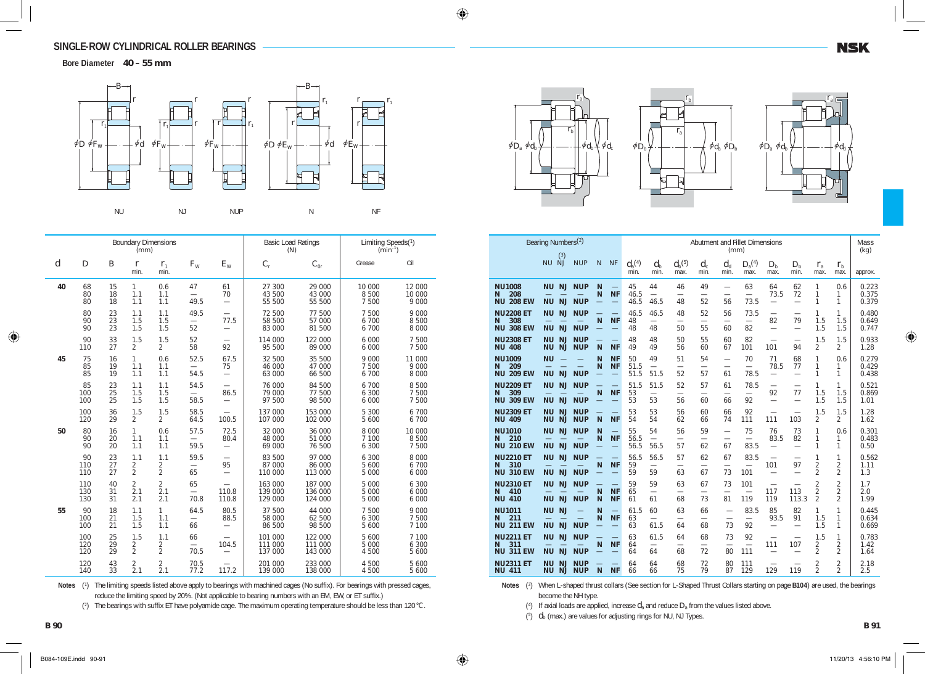**Bore Diameter 40 – 55 mm**



|                  |                   |                  | (mm)                                    | <b>Boundary Dimensions</b>              |                                        |                                        | <b>Basic Load Ratings</b><br>(N) |                               | Limiting Speeds(1)<br>$(min^{-1})$ |                              |  |
|------------------|-------------------|------------------|-----------------------------------------|-----------------------------------------|----------------------------------------|----------------------------------------|----------------------------------|-------------------------------|------------------------------------|------------------------------|--|
| $\boldsymbol{d}$ | $\boldsymbol{D}$  | $\boldsymbol{B}$ | $\mathbf{r}$<br>min.                    | $r_{1}$<br>min.                         | $F_{W}$                                | $E_{\rm W}$                            | $C_{\rm r}$                      | $C_{0r}$                      | Grease                             | Oil                          |  |
| 40               | 68<br>80<br>80    | 15<br>18<br>18   | $\mathbf{1}$<br>1.1<br>1.1              | 0.6<br>1.1<br>1.1                       | 47<br>49.5                             | 61<br>70<br>$\overline{\phantom{0}}$   | 27 300<br>43 500<br>55 500       | 29 000<br>43 000<br>55 500    | 10 000<br>8 500<br>7 500           | 12 000<br>10 000<br>9 0 0 0  |  |
|                  | 80<br>90<br>90    | 23<br>23<br>23   | 1.1<br>1.5<br>1.5                       | 1.1<br>1.5<br>1.5                       | 49.5<br>52                             | 77.5<br>$\overline{\phantom{0}}$       | 72 500<br>58 500<br>83 000       | 77 500<br>57 000<br>81 500    | 7 500<br>6 700<br>6 700            | 9 0 0 0<br>8 500<br>8 0 0 0  |  |
|                  | 90<br>110         | 33<br>27         | 1.5<br>$\overline{2}$                   | 1.5<br>$\overline{2}$                   | 52<br>58                               | 92                                     | 114 000<br>95 500                | 122 000<br>89 000             | 6 0 0 0<br>6 000                   | 7 500<br>7 500               |  |
| 45               | 75<br>85<br>85    | 16<br>19<br>19   | $\mathbf{1}$<br>1.1<br>1.1              | 0.6<br>1.1<br>1.1                       | 52.5<br>54.5                           | 67.5<br>75<br>$\overline{\phantom{0}}$ | 32 500<br>46 000<br>63 000       | 35 500<br>47 000<br>66 500    | 9 0 0 0<br>7 500<br>6 700          | 11 000<br>9 0 0 0<br>8 0 0 0 |  |
|                  | 85<br>100<br>100  | 23<br>25<br>25   | 1.1<br>1.5<br>1.5                       | 1.1<br>1.5<br>1.5                       | 54.5<br>58.5                           | 86.5<br>$\overline{\phantom{0}}$       | 76 000<br>79 000<br>97 500       | 84 500<br>77 500<br>98 500    | 6 700<br>6 300<br>6 000            | 8 5 0 0<br>7 500<br>7 500    |  |
|                  | 100<br>120        | 36<br>29         | 1.5<br>$\overline{2}$                   | 1.5<br>$\overline{2}$                   | 58.5<br>64.5                           | 100.5                                  | 137 000<br>107 000               | 153 000<br>102 000            | 5 300<br>5 600                     | 6 700<br>6 700               |  |
| 50               | 80<br>90<br>90    | 16<br>20<br>20   | 1<br>1.1<br>1.1                         | 0.6<br>1.1<br>1.1                       | 57.5<br>59.5                           | 72.5<br>80.4<br>$\equiv$               | 32 000<br>48 000<br>69 000       | 36 000<br>51 000<br>76 500    | 8 0 0 0<br>7 100<br>6 300          | 10 000<br>8 500<br>7 500     |  |
|                  | 90<br>110<br>110  | 23<br>27<br>27   | 1.1<br>$\overline{2}$<br>$\overline{2}$ | 1.1<br>2<br>$\overline{2}$              | 59.5<br>$\overline{\phantom{0}}$<br>65 | 95                                     | 83 500<br>87 000<br>110 000      | 97 000<br>86 000<br>113 000   | 6 300<br>5 600<br>5 000            | 8 0 0 0<br>6 700<br>6 000    |  |
|                  | 110<br>130<br>130 | 40<br>31<br>31   | $\overline{2}$<br>2.1<br>2.1            | $\overline{2}$<br>2.1<br>2.1            | 65<br>70.8                             | 110.8<br>110.8                         | 163 000<br>139 000<br>129 000    | 187 000<br>136 000<br>124 000 | 5 0 0 0<br>5 0 0 0<br>5 0 0 0      | 6 300<br>6 0 0 0<br>6 0 0 0  |  |
| 55               | 90<br>100<br>100  | 18<br>21<br>21   | 1.1<br>1.5<br>1.5                       | 1<br>1.1<br>1.1                         | 64.5<br>$\overline{\phantom{0}}$<br>66 | 80.5<br>88.5                           | 37 500<br>58 000<br>86 500       | 44 000<br>62 500<br>98 500    | 7 500<br>6 300<br>5 600            | 9 0 0 0<br>7 500<br>7 100    |  |
|                  | 100<br>120<br>120 | 25<br>29<br>29   | 1.5<br>$\overline{2}$<br>$\overline{2}$ | 1.1<br>$\overline{2}$<br>$\overline{2}$ | 66<br>70.5                             | 104.5<br>$\overline{\phantom{0}}$      | 101 000<br>111 000<br>137 000    | 122 000<br>111 000<br>143 000 | 5 600<br>5 000<br>4 500            | 7 100<br>6 300<br>5 600      |  |
|                  | 120<br>140        | 43<br>33         | $\overline{2}$<br>2.1                   | 2<br>2.1                                | 70.5<br>77.2                           | 117.2                                  | 201 000<br>139 000               | 233 000<br>138 000            | 4 500<br>4 500                     | 5 600<br>5 600               |  |

Notes (<sup>1</sup>) The limiting speeds listed above apply to bearings with machined cages (No suffix). For bearings with pressed cages, reduce the limiting speed by 20%. (Not applicable to bearing numbers with an EM, EW, or ET suffix.)

(<sup>2</sup> ) The bearings with suffix ET have polyamide cage. The maximum operating temperature should be less than 120°C.







|                                                  | Bearing Numbers <sup>(2)</sup>                   |                          |        |                                       | Abutment and Fillet Dimensions |                                        |                                      |                                      |                                      |                                         |                                                            |                                      |                                                    | Mass                                               |                         |
|--------------------------------------------------|--------------------------------------------------|--------------------------|--------|---------------------------------------|--------------------------------|----------------------------------------|--------------------------------------|--------------------------------------|--------------------------------------|-----------------------------------------|------------------------------------------------------------|--------------------------------------|----------------------------------------------------|----------------------------------------------------|-------------------------|
|                                                  | (3)                                              |                          |        |                                       |                                |                                        |                                      |                                      | (mm)                                 |                                         |                                                            |                                      |                                                    |                                                    | (kg)                    |
|                                                  | NU NJ                                            | <b>NUP</b>               | N      | <b>NF</b>                             | $d_{\rm a}^{(4)}$<br>min.      | $d_{\rm h}$<br>min.                    | $d_{\mathrm{b}}^{(5)}$<br>max.       | $d_{c}$<br>min.                      | $d_{d}$<br>min.                      | $D_{\rm a}^{(4)}$<br>max.               | $D_{\rm b}$<br>max.                                        | $D_{\rm b}$<br>min.                  | $r_{\rm a}$<br>max.                                | $r_{\rm h}$<br>max.                                | approx.                 |
| <b>NU1008</b><br>208<br>N<br><b>NU 208 EW</b>    | NU NJ<br><b>NJ</b><br><b>NU</b>                  | <b>NUP</b><br><b>NUP</b> | N<br>N | <b>NF</b>                             | 45<br>46.5<br>46.5             | 44<br>$\equiv$<br>46.5                 | 46<br>$\overline{\phantom{0}}$<br>48 | 49<br>$\overline{\phantom{0}}$<br>52 | $\overline{\phantom{0}}$<br>56       | 63<br>$\overline{\phantom{0}}$<br>73.5  | 64<br>73.5<br>$\overline{\phantom{0}}$                     | 62<br>72<br>$\overline{\phantom{0}}$ | 1<br>1<br>1                                        | 0.6<br>1<br>1                                      | 0.223<br>0.375<br>0.379 |
| <b>NU2208 ET</b><br>308<br>N<br><b>NU 308 EW</b> | <b>NU</b><br><b>NJ</b><br><b>NJ</b><br><b>NU</b> | <b>NUP</b><br><b>NUP</b> | N      | <b>NF</b>                             | 46.5<br>48<br>48               | 46.5<br>48                             | 48<br>50                             | 52<br>55                             | 56<br>60                             | 73.5<br>82                              | $\overline{\phantom{0}}$<br>82<br>$\overline{\phantom{0}}$ | $\overline{\phantom{0}}$<br>79       | 1<br>1.5<br>1.5                                    | 1<br>1.5<br>1.5                                    | 0.480<br>0.649<br>0.747 |
| <b>NU2308 ET</b><br><b>NU 408</b>                | <b>NU</b><br><b>NJ</b><br><b>NU</b><br><b>NJ</b> | <b>NUP</b><br><b>NUP</b> | N      | <b>NF</b>                             | 48<br>49                       | 48<br>49                               | 50<br>56                             | 55<br>60                             | 60<br>67                             | 82<br>101                               | 101                                                        | 94                                   | 1.5<br>$\mathfrak{D}$                              | 1.5<br>$\mathfrak{D}$                              | 0.933<br>1.28           |
| <b>NU1009</b><br>209<br>N<br><b>NU 209 EW</b>    | <b>NU</b><br><b>NJ</b><br><b>NU</b>              | <b>NUP</b>               | N<br>N | <b>NF</b><br><b>NF</b>                | 50<br>51.5<br>51.5             | 49<br>$\overline{\phantom{0}}$<br>51.5 | 51<br>52                             | 54<br>$\overline{\phantom{0}}$<br>57 | $\overline{\phantom{0}}$<br>61       | 70<br>$\overline{\phantom{0}}$<br>78.5  | 71<br>78.5<br>$\overline{\phantom{0}}$                     | 68<br>77<br>$\overline{\phantom{0}}$ | 1<br>1<br>1                                        | 0.6<br>1<br>$\mathbf{1}$                           | 0.279<br>0.429<br>0.438 |
| <b>NU2209 ET</b><br>309<br>N<br><b>NU 309 EW</b> | NU.<br><b>NJ</b><br><b>NU</b><br><b>NJ</b>       | <b>NUP</b><br><b>NUP</b> | N      | <b>NF</b>                             | 51.5<br>53<br>53               | 51.5<br>53                             | 52<br>$\overline{\phantom{0}}$<br>56 | 57<br>60                             | 61<br>66                             | 78.5<br>92                              | 92<br>$\overline{\phantom{0}}$                             | 77                                   | 1<br>1.5<br>1.5                                    | 1<br>1.5<br>1.5                                    | 0.521<br>0.869<br>1.01  |
| <b>NU2309 ET</b><br><b>NU 409</b>                | <b>NU</b><br>NJ<br><b>NU</b><br><b>NJ</b>        | <b>NUP</b><br><b>NUP</b> | N      | <b>NF</b>                             | 53<br>54                       | 53<br>54                               | 56<br>62                             | 60<br>66                             | 66<br>74                             | 92<br>111                               | 111                                                        | 103                                  | 1.5<br>2                                           | 1.5<br>$\overline{2}$                              | 1.28<br>1.62            |
| <b>NU1010</b><br>210<br>N<br><b>NU 210 EW</b>    | <b>NU</b><br><b>NJ</b><br>NJ<br>NU               | <b>NUP</b><br><b>NUP</b> | N<br>N | <b>NF</b><br>$\qquad \qquad -$        | 55<br>56.5<br>56.5             | 54<br>$\overline{\phantom{0}}$<br>56.5 | 56<br>57                             | 59<br>62                             | 67                                   | 75<br>$\overline{\phantom{0}}$<br>83.5  | 76<br>83.5<br>$\overline{\phantom{0}}$                     | 73<br>82<br>$\overline{\phantom{0}}$ | 1<br>1<br>1                                        | 0.6<br>1<br>1                                      | 0.301<br>0.483<br>0.50  |
| <b>NU2210 ET</b><br>310<br>N<br><b>NU 310 EW</b> | <b>NU</b><br><b>NJ</b><br><b>NJ</b><br><b>NU</b> | <b>NUP</b><br><b>NUP</b> | N      | <b>NF</b><br>$\overline{\phantom{0}}$ | 56.5<br>59<br>59               | 56.5<br>$\overline{\phantom{0}}$<br>59 | 57<br>63                             | 62<br>$\overline{\phantom{0}}$<br>67 | 67<br>73                             | 83.5<br>$\overline{\phantom{0}}$<br>101 | 101                                                        | 97<br>$\overline{\phantom{0}}$       | 1<br>$\overline{2}$<br>2                           | 1<br>$\overline{2}$<br>2                           | 0.562<br>1.11<br>1.3    |
| <b>NU2310 ET</b><br>410<br>N<br><b>NU 410</b>    | <b>NJ</b><br><b>NU</b><br><b>NU</b><br><b>NJ</b> | <b>NUP</b><br><b>NUP</b> | N<br>N | <b>NF</b><br><b>NF</b>                | 59<br>65<br>61                 | 59<br>$\overline{\phantom{0}}$<br>61   | 63<br>$\overline{\phantom{0}}$<br>68 | 67<br>$\overline{\phantom{0}}$<br>73 | 73<br>$\overline{\phantom{0}}$<br>81 | 101<br>$\overline{\phantom{0}}$<br>119  | $\overline{\phantom{0}}$<br>117<br>119                     | 113<br>113.3                         | $\overline{2}$<br>$\overline{2}$<br>$\mathfrak{D}$ | $\overline{2}$<br>$\overline{2}$<br>$\mathfrak{D}$ | 1.7<br>2.0<br>1.99      |
| <b>NU1011</b><br>211<br>N<br><b>NU 211 EW</b>    | NU NJ<br><b>NU</b><br>NJ                         | <b>NUP</b>               | N<br>N | <b>NF</b>                             | 61.5<br>63<br>63               | 60<br>61.5                             | 63<br>64                             | 66<br>68                             | 73                                   | 83.5<br>92                              | 85<br>93.5<br>$\overline{\phantom{0}}$                     | 82<br>91<br>$\overline{\phantom{0}}$ | 1<br>1.5<br>1.5                                    | 1<br>1<br>1                                        | 0.445<br>0.634<br>0.669 |
| <b>NU2211 ET</b><br>311<br>N<br><b>NU 311 EW</b> | <b>NU</b><br><b>NJ</b><br><b>NJ</b><br><b>NU</b> | <b>NUP</b><br><b>NUP</b> | N      | <b>NF</b>                             | 63<br>64<br>64                 | 61.5<br>$\overline{\phantom{0}}$<br>64 | 64<br>68                             | 68<br>72                             | 73<br>80                             | 92<br>$\overline{\phantom{0}}$<br>111   | 111<br>$\overline{\phantom{0}}$                            | $\overline{\phantom{0}}$<br>107      | 1.5<br>2<br>$\mathfrak{D}$                         | 1<br>$\overline{2}$<br>2                           | 0.783<br>1.42<br>1.64   |
| <b>NU2311 ET</b><br><b>NU 411</b>                | <b>NU</b><br><b>NJ</b><br>NU.<br><b>NJ</b>       | <b>NUP</b><br><b>NUP</b> | N      | <b>NF</b>                             | 64<br>66                       | 64<br>66                               | 68<br>75                             | 72<br>79                             | 80<br>87                             | 111<br>129                              | 129                                                        | 119                                  | $\overline{2}$<br>$\mathfrak{D}$                   | $\overline{2}$<br>$\mathfrak{D}$                   | 2.18<br>2.5             |

Notes (<sup>3</sup>) When L-shaped thrust collars (See section for L-Shaped Thrust Collars starting on page **B104**) are used, the bearings become the NH type.

(<sup>4</sup> ) If axial loads are applied, increase *d*a and reduce *D*a from the values listed above.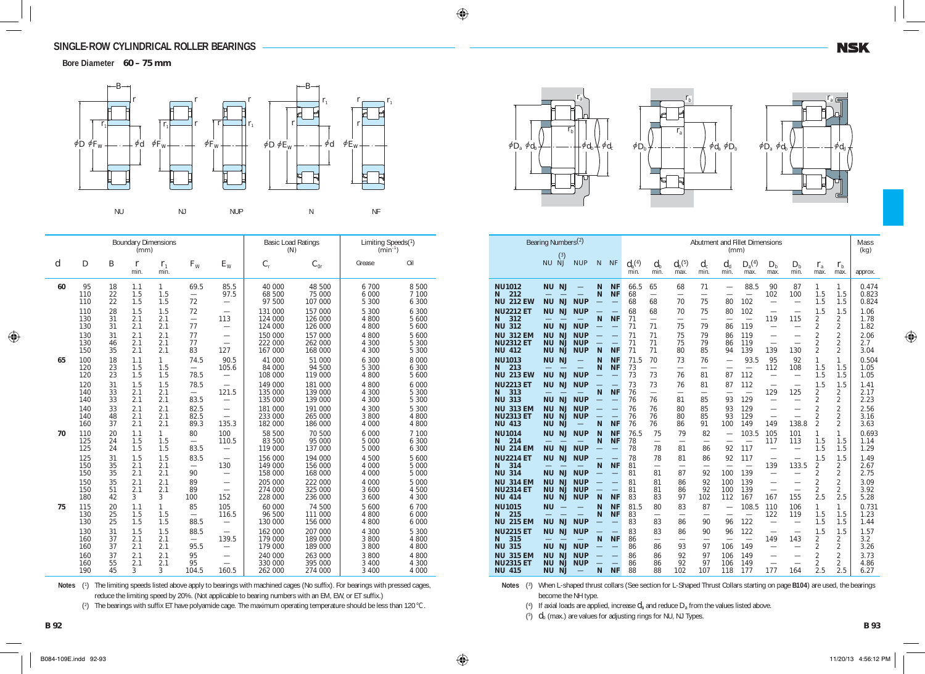**Bore Diameter 60 – 75 mm**



|                |                   |                  | (mm)                 | <b>Boundary Dimensions</b> |                                        |                                                             | <b>Basic Load Ratings</b><br>(N) |                               | Limiting Speeds(1)<br>$(min^{-1})$ |                              |  |
|----------------|-------------------|------------------|----------------------|----------------------------|----------------------------------------|-------------------------------------------------------------|----------------------------------|-------------------------------|------------------------------------|------------------------------|--|
| $\overline{d}$ | $\boldsymbol{D}$  | $\boldsymbol{B}$ | $\mathbf{r}$<br>min. | $r_{1}$<br>min.            | $F_{\rm W}$                            | $E_{\rm W}$                                                 | $C_{\rm r}$                      | $C_{0r}$                      | Grease                             | Oil                          |  |
| 60             | 95<br>110<br>110  | 18<br>22<br>22   | 1.1<br>1.5<br>1.5    | $\mathbf{1}$<br>1.5<br>1.5 | 69.5<br>72                             | 85.5<br>97.5                                                | 40 000<br>68 500<br>97 500       | 48 500<br>75 000<br>107 000   | 6 700<br>6 0 0 0<br>5 300          | 8 500<br>7 100<br>6 300      |  |
|                | 110<br>130<br>130 | 28<br>31<br>31   | 1.5<br>2.1<br>2.1    | 1.5<br>2.1<br>2.1          | 72<br>77                               | $\overline{\phantom{0}}$<br>113<br>$\overline{\phantom{0}}$ | 131 000<br>124 000<br>124 000    | 157 000<br>126 000<br>126 000 | 5 300<br>4 800<br>4 800            | 6 300<br>5 600<br>5 600      |  |
|                | 130<br>130<br>150 | 31<br>46<br>35   | 2.1<br>2.1<br>2.1    | 2.1<br>2.1<br>2.1          | 77<br>77<br>83                         | $\overline{\phantom{0}}$<br>$\overline{\phantom{0}}$<br>127 | 150 000<br>222 000<br>167 000    | 157 000<br>262 000<br>168 000 | 4 800<br>4 300<br>4 300            | 5 600<br>5 300<br>5 300      |  |
| 65             | 100<br>120<br>120 | 18<br>23<br>23   | 1.1<br>1.5<br>1.5    | $\mathbf{1}$<br>1.5<br>1.5 | 74.5<br>78.5                           | 90.5<br>105.6<br>$\overline{\phantom{0}}$                   | 41 000<br>84 000<br>108 000      | 51 000<br>94 500<br>119 000   | 6 300<br>5 300<br>4 800            | 8 0 0 0<br>6 300<br>5 600    |  |
|                | 120<br>140<br>140 | 31<br>33<br>33   | 1.5<br>2.1<br>2.1    | 1.5<br>2.1<br>2.1          | 78.5<br>83.5                           | 121.5<br>$\overline{\phantom{0}}$                           | 149 000<br>135 000<br>135 000    | 181 000<br>139 000<br>139 000 | 4 800<br>4 300<br>4 300            | 6 0 0 0<br>300<br>5<br>5 300 |  |
|                | 140<br>140<br>160 | 33<br>48<br>37   | 2.1<br>2.1<br>2.1    | 2.1<br>2.1<br>2.1          | 82.5<br>82.5<br>89.3                   | $\overline{\phantom{0}}$<br>135.3                           | 181 000<br>233 000<br>182 000    | 191 000<br>265 000<br>186 000 | 4 300<br>3 800<br>4 0 0 0          | 5 300<br>4 800<br>4 800      |  |
| 70             | 110<br>125<br>125 | 20<br>24<br>24   | 1.1<br>1.5<br>1.5    | $\mathbf{1}$<br>1.5<br>1.5 | 80<br>$\equiv$<br>83.5                 | 100<br>110.5<br>$\overline{\phantom{0}}$                    | 58 500<br>83 500<br>119 000      | 70 500<br>95 000<br>137 000   | 6 0 0 0<br>5 0 0 0<br>5 0 0 0      | 7 100<br>6 300<br>6 300      |  |
|                | 125<br>150<br>150 | 31<br>35<br>35   | 1.5<br>2.1<br>2.1    | 1.5<br>2.1<br>2.1          | 83.5<br>$\overline{\phantom{0}}$<br>90 | 130<br>$\overline{\phantom{0}}$                             | 156 000<br>149 000<br>158 000    | 194 000<br>156 000<br>168 000 | 4 500<br>4 000<br>4 000            | 5 600<br>5 0 0 0<br>5 0 0 0  |  |
|                | 150<br>150<br>180 | 35<br>51<br>42   | 2.1<br>2.1<br>3      | 2.1<br>2.1<br>3            | 89<br>89<br>100                        | $\overline{\phantom{0}}$<br>$\overline{\phantom{0}}$<br>152 | 205 000<br>274 000<br>228 000    | 222 000<br>325 000<br>236 000 | 4 000<br>3 600<br>3 600            | 5 0 0 0<br>4 500<br>4 300    |  |
| 75             | 115<br>130<br>130 | 20<br>25<br>25   | 1.1<br>1.5<br>1.5    | 1<br>1.5<br>1.5            | 85<br>$\overline{\phantom{0}}$<br>88.5 | 105<br>116.5<br>$\overline{\phantom{0}}$                    | 60 000<br>96 500<br>130 000      | 74 500<br>111 000<br>156 000  | 5 600<br>4 800<br>4 800            | 6 700<br>6 000<br>6 000      |  |
|                | 130<br>160<br>160 | 31<br>37<br>37   | 1.5<br>2.1<br>2.1    | 1.5<br>2.1<br>2.1          | 88.5<br>95.5                           | 139.5                                                       | 162 000<br>179 000<br>179 000    | 207 000<br>189 000<br>189 000 | 4 300<br>3 800<br>3 800            | 5 300<br>4 800<br>4 800      |  |
|                | 160<br>160<br>190 | 37<br>55<br>45   | 2.1<br>2.1<br>3      | 2.1<br>2.1<br>3            | 95<br>95<br>104.5                      | 160.5                                                       | 240 000<br>330 000<br>262 000    | 263 000<br>395 000<br>274 000 | 3 800<br>3 4 0 0<br>3 4 0 0        | 4 800<br>300<br>4<br>4 0 0 0 |  |

Notes (<sup>1</sup>) The limiting speeds listed above apply to bearings with machined cages (No suffix). For bearings with pressed cages, reduce the limiting speed by 20%. (Not applicable to bearing numbers with an EM, EW, or ET suffix.)

(<sup>2</sup> ) The bearings with suffix ET have polyamide cage. The maximum operating temperature should be less than 120°C.





|                                                       | Bearing Numbers <sup>(2)</sup><br>(3)                               |                                        |                               |                                                      | Abutment and Fillet Dimensions<br>(mm) |                                             |                                      |                                       |                                                             |                                         |                                                                                  |                                                               |                                                    |                                                    | Mass<br>(kg)            |
|-------------------------------------------------------|---------------------------------------------------------------------|----------------------------------------|-------------------------------|------------------------------------------------------|----------------------------------------|---------------------------------------------|--------------------------------------|---------------------------------------|-------------------------------------------------------------|-----------------------------------------|----------------------------------------------------------------------------------|---------------------------------------------------------------|----------------------------------------------------|----------------------------------------------------|-------------------------|
|                                                       | NU NJ                                                               | <b>NUP</b>                             | N                             | <b>NF</b>                                            | $d_{\rm a}^{(4)}$<br>min.              | $d_{\rm b}$<br>min.                         | $d_{\rm b}{}^{(5)}$<br>max.          | $d_{c}$<br>min.                       | $d_{d}$<br>min.                                             | $D_{a}^{(4)}$<br>max.                   | $D_{\rm b}$<br>max.                                                              | $D_{\rm b}$<br>min.                                           | $r_{\rm a}$<br>max.                                | $r_{\rm b}$<br>max.                                | approx.                 |
| <b>NU1012</b><br>212<br>N<br><b>NU 212 EW</b>         | <b>NJ</b><br><b>NU</b><br><b>NU</b><br><b>NJ</b>                    | <u>in</u><br><b>NUP</b>                | N<br>N                        | <b>NF</b><br><b>NF</b>                               | 66.5<br>68<br>68                       | 65<br>$\overline{\phantom{0}}$<br>68        | 68<br>$\overline{\phantom{0}}$<br>70 | 71<br>75                              | $\overline{\phantom{0}}$<br>$\overline{\phantom{0}}$<br>80  | 88.5<br>$\overline{\phantom{0}}$<br>102 | 90<br>102<br>$\overline{\phantom{0}}$                                            | 87<br>100<br>$\overline{\phantom{0}}$                         | 1<br>1.5<br>1.5                                    | 1<br>1.5<br>1.5                                    | 0.474<br>0.823<br>0.824 |
| <b>NU2212 ET</b><br>312<br>N<br><b>NU 312</b>         | <b>NJ</b><br><b>NU</b><br><b>NJ</b><br><b>NU</b>                    | <b>NUP</b><br><b>NUP</b>               | N                             | <b>NF</b><br>-                                       | 68<br>71<br>71                         | 68<br>$\overline{\phantom{0}}$<br>71        | 70<br>$\overline{\phantom{0}}$<br>75 | 75<br>$\overline{\phantom{0}}$<br>79  | 80<br>$\overline{\phantom{0}}$<br>86                        | 102<br>$\overline{\phantom{0}}$<br>119  | $\overline{\phantom{0}}$<br>119<br>$\overline{\phantom{0}}$                      | 115<br>$\overline{\phantom{0}}$                               | 1.5<br>2<br>$\overline{2}$                         | 1.5<br>2<br>2                                      | 1.06<br>1.78<br>1.82    |
| <b>NU 312 EM</b><br><b>NU2312 ET</b>                  | <b>NU</b><br><b>NJ</b><br><b>NJ</b><br><b>NU</b>                    | <b>NUP</b><br><b>NUP</b>               | $\equiv$                      | $\equiv$<br>$\qquad \qquad -$                        | 71<br>71                               | 71<br>71                                    | 75<br>75                             | 79<br>79                              | 86<br>86                                                    | 119<br>119                              | $\overline{\phantom{0}}$<br>$\overline{\phantom{0}}$                             |                                                               | $\overline{2}$<br>$\overline{2}$<br>$\mathfrak{D}$ | $\overline{2}$<br>$\overline{2}$                   | 2.06<br>2.7             |
| <b>NU 412</b><br><b>NU1013</b><br>213<br>N            | <b>NU</b><br><b>NJ</b><br><b>NJ</b><br><b>NU</b>                    | <b>NUP</b>                             | N<br>N<br>N                   | <b>NF</b><br><b>NF</b><br><b>NF</b>                  | 71<br>71.5<br>73                       | 71<br>70<br>$\equiv$                        | 80<br>73<br>$\overline{\phantom{0}}$ | 85<br>76                              | 94<br>$\overline{\phantom{0}}$<br>$\overline{\phantom{0}}$  | 139<br>93.5<br>$\overline{\phantom{0}}$ | 139<br>95<br>112                                                                 | 130<br>92<br>108                                              | 1<br>1.5                                           | $\overline{2}$<br>1<br>1.5                         | 3.04<br>0.504<br>1.05   |
| <b>NU 213 EW</b><br><b>NU2213 ET</b><br>313<br>N      | <b>NJ</b><br><b>NU</b><br>NJ<br><b>NU</b>                           | <b>NUP</b><br><b>NUP</b>               | $\overline{\phantom{0}}$<br>N | <b>NF</b>                                            | 73<br>73<br>76                         | 73<br>73<br>$\overline{\phantom{0}}$        | 76<br>76<br>$\overline{\phantom{0}}$ | 81<br>81<br>$\overline{\phantom{0}}$  | 87<br>87                                                    | 112<br>112<br>$\overline{\phantom{0}}$  | $\overline{\phantom{0}}$<br>129                                                  | $\overline{\phantom{0}}$<br>$\overline{\phantom{0}}$<br>125   | 1.5<br>1.5<br>2                                    | 1.5<br>1.5<br>2                                    | 1.05<br>1.41<br>2.17    |
| <b>NU 313</b><br><b>NU 313 EM</b><br><b>NU2313 ET</b> | <b>NU</b><br><b>NJ</b><br><b>NJ</b><br><b>NU</b><br>NJ<br><b>NU</b> | <b>NUP</b><br><b>NUP</b><br><b>NUP</b> | $\overline{\phantom{0}}$      | $\overline{\phantom{0}}$<br>$\overline{\phantom{0}}$ | 76<br>76<br>76                         | 76<br>76<br>76                              | 81<br>80<br>80                       | 85<br>85<br>85                        | 93<br>93<br>93                                              | 129<br>129<br>129                       | $\overline{\phantom{0}}$<br>$\overline{\phantom{0}}$<br>$\overline{\phantom{0}}$ | $\overline{\phantom{0}}$                                      | $\overline{2}$<br>$\overline{2}$<br>$\overline{2}$ | $\overline{2}$<br>$\overline{2}$<br>$\overline{2}$ | 2.23<br>2.56<br>3.16    |
| <b>NU 413</b><br><b>NU1014</b><br>214<br>N            | <b>NU</b><br><b>NJ</b><br><b>NJ</b><br><b>NU</b>                    | $\overline{\phantom{0}}$<br><b>NUP</b> | N<br>N<br>N                   | <b>NF</b><br><b>NF</b><br><b>NF</b>                  | 76<br>76.5<br>78                       | 76<br>75<br>$\overline{\phantom{0}}$        | 86<br>79<br>$\overline{\phantom{0}}$ | 91<br>82<br>$\overline{\phantom{0}}$  | 100                                                         | 149<br>103.5                            | 149<br>105<br>117                                                                | 138.8<br>101<br>113                                           | $\overline{2}$<br>1<br>1.5                         | 2<br>1<br>1.5                                      | 3.63<br>0.693<br>1.14   |
| <b>NU 214 EM</b><br><b>NU2214 ET</b><br>314<br>N      | <b>NJ</b><br><b>NU</b><br>NJ<br><b>NU</b>                           | <b>NUP</b><br><b>NUP</b>               | $\overline{\phantom{0}}$<br>N | $\equiv$<br><b>NF</b>                                | 78<br>78<br>81                         | 78<br>78<br>$\overline{\phantom{0}}$        | 81<br>81<br>$\overline{\phantom{0}}$ | 86<br>86<br>$\overline{\phantom{0}}$  | 92<br>92                                                    | 117<br>117<br>$\overline{\phantom{0}}$  | $\overline{\phantom{0}}$<br>$\overline{\phantom{0}}$<br>139                      | $\overline{\phantom{0}}$<br>$\overline{\phantom{0}}$<br>133.5 | 1.5<br>1.5<br>2                                    | 1.5<br>1.5<br>2                                    | 1.29<br>1.49<br>2.67    |
| <b>NU 314</b><br><b>NU 314 EM</b><br><b>NU2314 ET</b> | <b>NJ</b><br><b>NU</b><br>NJ<br><b>NU</b><br><b>NJ</b><br><b>NU</b> | <b>NUP</b><br><b>NUP</b><br><b>NUP</b> |                               |                                                      | 81<br>81<br>81                         | 81<br>81<br>81                              | 87<br>86<br>86                       | 92<br>92<br>92                        | 100<br>100<br>100                                           | 139<br>139<br>139                       | $\overline{\phantom{0}}$                                                         | $\overline{\phantom{0}}$                                      | $\overline{2}$<br>$\overline{2}$<br>$\overline{2}$ | 2<br>$\overline{2}$<br>$\overline{2}$              | 2.75<br>3.09<br>3.92    |
| <b>NU 414</b><br><b>NU1015</b><br>N<br>215            | <b>NJ</b><br><b>NU</b><br><b>NU</b>                                 | <b>NUP</b>                             | N<br>N<br>N                   | <b>NF</b><br><b>NF</b><br><b>NF</b>                  | 83<br>81.5<br>83                       | 83<br>80<br>$\overline{\phantom{0}}$        | 97<br>83<br>$\overline{\phantom{0}}$ | 102<br>87<br>$\overline{\phantom{0}}$ | 112<br>$\overline{\phantom{0}}$<br>$\overline{\phantom{0}}$ | 167<br>108.5                            | 167<br>110<br>122                                                                | 155<br>106<br>119                                             | 2.5<br>1<br>1.5                                    | 2.5<br>1<br>1.5                                    | 5.28<br>0.731<br>1.23   |
| <b>NU 215 EM</b><br><b>NU2215 ET</b><br>315<br>N      | <b>NU</b><br><b>NJ</b><br>NJ<br><b>NU</b>                           | <b>NUP</b><br><b>NUP</b>               | N                             | <b>NF</b>                                            | 83<br>83<br>86                         | 83<br>83<br>$\overbrace{\phantom{1232211}}$ | 86<br>86                             | 90<br>90<br>$\overline{\phantom{0}}$  | 96<br>96<br>$\overline{\phantom{0}}$                        | 122<br>122<br>$\overline{\phantom{0}}$  | $\overline{\phantom{0}}$<br>149                                                  | $\overline{\phantom{0}}$<br>143                               | 1.5<br>1.5<br>2                                    | 1.5<br>1.5<br>2                                    | 1.44<br>1.57<br>3.2     |
| <b>NU 315</b><br><b>NU 315 EM</b>                     | <b>NJ</b><br><b>NU</b><br>NJ<br><b>NU</b>                           | <b>NUP</b><br><b>NUP</b>               | <u>in</u>                     | $\overline{\phantom{0}}$<br>$\overline{\phantom{0}}$ | 86<br>86                               | 86<br>86                                    | 93<br>92                             | 97<br>97                              | 106<br>106                                                  | 149<br>149                              | $\overline{\phantom{0}}$                                                         | $\overline{\phantom{0}}$                                      | 2<br>$\overline{2}$                                | 2<br>$\overline{2}$                                | 3.26<br>3.73            |
| <b>NU2315 ET</b><br><b>NU 415</b>                     | <b>NU</b><br><b>NJ</b><br><b>NJ</b><br><b>NU</b>                    | <b>NUP</b>                             | N                             | ÷.<br><b>NF</b>                                      | 86<br>88                               | 86<br>88                                    | 92<br>102                            | 97<br>107                             | 106<br>118                                                  | 149<br>177                              | $\overline{\phantom{0}}$<br>177                                                  | $\overline{\phantom{0}}$<br>164                               | $\overline{2}$<br>2.5                              | 2<br>2.5                                           | 4.86<br>6.27            |

Notes (<sup>3</sup>) When L-shaped thrust collars (See section for L-Shaped Thrust Collars starting on page **B104**) are used, the bearings become the NH type.

(<sup>4</sup> ) If axial loads are applied, increase *d*a and reduce *D*a from the values listed above.

(<sup>5</sup> ) *d*b (max.) are values for adjusting rings for NU, NJ Types.

**NSK**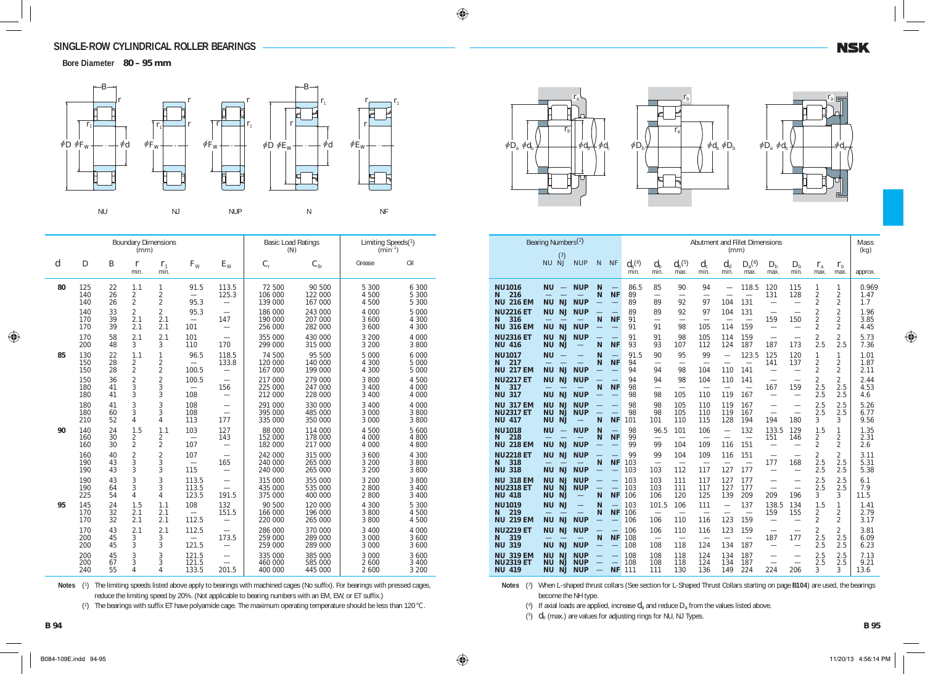**Bore Diameter 80 – 95 mm**



|                |                   |                | (mm)                                    | <b>Boundary Dimensions</b>            |                                          |                                 | <b>Basic Load Ratings</b><br>(N) |                               | Limiting Speeds(1)<br>$(min^{-1})$ |                           |  |
|----------------|-------------------|----------------|-----------------------------------------|---------------------------------------|------------------------------------------|---------------------------------|----------------------------------|-------------------------------|------------------------------------|---------------------------|--|
| $\overline{d}$ | D                 | B              | r<br>min.                               | $r_{1}$<br>min.                       | $F_{\rm W}$                              | $E_{\rm W}$                     | $C_{\rm r}$                      | $C_{0r}$                      | Grease                             | Oil                       |  |
| 80             | 125<br>140<br>140 | 22<br>26<br>26 | 1.1<br>2<br>$\overline{2}$              | 1<br>$\overline{2}$<br>$\overline{2}$ | 91.5<br>95.3                             | 113.5<br>125.3                  | 72 500<br>106 000<br>139 000     | 90 500<br>122 000<br>167 000  | 5 300<br>4 500<br>4 500            | 6 300<br>5 300<br>5 300   |  |
|                | 140<br>170<br>170 | 33<br>39<br>39 | $\overline{2}$<br>2.1<br>2.1            | $\overline{2}$<br>2.1<br>2.1          | 95.3<br>$\equiv$<br>101                  | 147                             | 186 000<br>190 000<br>256 000    | 243 000<br>207 000<br>282 000 | 4 0 0 0<br>3 600<br>3 600          | 5 000<br>4 300<br>4 300   |  |
|                | 170<br>200        | 58<br>48       | 2.1<br>3                                | 2.1<br>3                              | 101<br>110                               | 170                             | 355 000<br>299 000               | 430 000<br>315 000            | 3 200<br>3 200                     | 4 0 0 0<br>3 800          |  |
| 85             | 130<br>150<br>150 | 22<br>28<br>28 | 1.1<br>$\overline{c}$<br>$\overline{c}$ | 1<br>$\overline{c}$<br>$\overline{2}$ | 96.5<br>100.5                            | 118.5<br>133.8                  | 74 500<br>120 000<br>167 000     | 95 500<br>140 000<br>199 000  | 5 0 0 0<br>4 300<br>4 300          | 6 000<br>5 000<br>5 000   |  |
|                | 150<br>180<br>180 | 36<br>41<br>41 | $\overline{c}$<br>3<br>3                | $\overline{2}$<br>3<br>3              | 100.5<br>$\overline{\phantom{0}}$<br>108 | 156                             | 217 000<br>225 000<br>212 000    | 279 000<br>247 000<br>228 000 | 3 800<br>3 4 0 0<br>3 4 0 0        | 4 500<br>4 000<br>4 000   |  |
|                | 180<br>180<br>210 | 41<br>60<br>52 | 3<br>3<br>$\overline{4}$                | 3<br>3<br>4                           | 108<br>108<br>113                        | 177                             | 291 000<br>395 000<br>335 000    | 330 000<br>485 000<br>350 000 | 3 4 0 0<br>3 0 0 0<br>3 0 0 0      | 4 000<br>3 800<br>3 800   |  |
| 90             | 140<br>160<br>160 | 24<br>30<br>30 | 1.5<br>$\overline{c}$<br>$\overline{2}$ | 1.1<br>2<br>$\overline{2}$            | 103<br>$\overline{\phantom{0}}$<br>107   | 127<br>143<br>$\equiv$          | 88 000<br>152 000<br>182 000     | 114 000<br>178 000<br>217 000 | 4 500<br>4 0 0 0<br>4 0 0 0        | 5 600<br>4 800<br>4 800   |  |
|                | 160<br>190<br>190 | 40<br>43<br>43 | $\overline{c}$<br>3<br>3                | $\frac{2}{3}$<br>3                    | 107<br>$\overline{\phantom{0}}$<br>115   | $\overline{\phantom{0}}$<br>165 | 242 000<br>240 000<br>240 000    | 315 000<br>265 000<br>265 000 | 3 600<br>3 200<br>3 200            | 4 300<br>3 800<br>3 800   |  |
|                | 190<br>190<br>225 | 43<br>64<br>54 | 3<br>3<br>$\overline{4}$                | 3<br>3<br>4                           | 113.5<br>113.5<br>123.5                  | 191.5                           | 315 000<br>435 000<br>375 000    | 355 000<br>535 000<br>400 000 | 3 200<br>2 800<br>2 800            | 3 800<br>3 400<br>3 4 0 0 |  |
| 95             | 145<br>170<br>170 | 24<br>32<br>32 | 1.5<br>2.1<br>2.1                       | 1.1<br>2.1<br>2.1                     | 108<br>$\overline{\phantom{0}}$<br>112.5 | 132<br>151.5                    | 90 500<br>166 000<br>220 000     | 120 000<br>196 000<br>265 000 | 4 300<br>3 800<br>3 800            | 5 300<br>4 500<br>4 500   |  |
|                | 170<br>200<br>200 | 43<br>45<br>45 | 2.1<br>3<br>3                           | 2.1<br>3<br>3                         | 112.5<br>121.5                           | 173.5                           | 286 000<br>259 000<br>259 000    | 370 000<br>289 000<br>289 000 | 3 4 0 0<br>3 0 0 0<br>3 000        | 4 000<br>3 600<br>3 600   |  |
|                | 200<br>200<br>240 | 45<br>67<br>55 | 3<br>3<br>4                             | 3<br>3<br>4                           | 121.5<br>121.5<br>133.5                  | 201.5                           | 335 000<br>460 000<br>400 000    | 385 000<br>585 000<br>445 000 | 3 0 0 0<br>2 600<br>2 600          | 3 600<br>3 4 0 0<br>3 200 |  |

Notes (<sup>1</sup>) The limiting speeds listed above apply to bearings with machined cages (No suffix). For bearings with pressed cages, reduce the limiting speed by 20%. (Not applicable to bearing numbers with an EM, EW, or ET suffix.)

(2) The bearings with suffix ET have polyamide cage. The maximum operating temperature should be less than 120°C.







|                                                       | Bearing Numbers <sup>(2)</sup>                                      |                                               |                               |                                                                   |                           |                                               |                                                   |                                        | (mm)                                                        | Abutment and Fillet Dimensions           |                                                             |                                                             |                                                    |                                       | Mass<br>(kg)         |
|-------------------------------------------------------|---------------------------------------------------------------------|-----------------------------------------------|-------------------------------|-------------------------------------------------------------------|---------------------------|-----------------------------------------------|---------------------------------------------------|----------------------------------------|-------------------------------------------------------------|------------------------------------------|-------------------------------------------------------------|-------------------------------------------------------------|----------------------------------------------------|---------------------------------------|----------------------|
|                                                       | (3)<br>NU NJ                                                        | <b>NUP</b>                                    | N                             | <b>NF</b>                                                         | $d_{\rm a}^{(4)}$<br>min. | $d_{\rm b}$<br>min.                           | $d_{\rm b}^{\phantom{\dag}}{}^{\!\! (5)}$<br>max. | $d_{c}$<br>min.                        | $d_{\rm d}$<br>min.                                         | $D_{\rm a}^{~~(4)}$<br>max.              | $D_{\rm b}$<br>max.                                         | $D_{\rm h}$<br>min.                                         | $r_{\rm a}$<br>max.                                | $r_{\rm b}$<br>max.                   | approx.              |
| <b>NU1016</b><br>216<br>N<br><b>NU 216 EM</b>         | <b>NU</b><br>$\equiv$<br><b>NJ</b><br><b>NU</b>                     | <b>NUP</b><br><b>NUP</b>                      | N<br>N                        | $\overline{\phantom{0}}$<br><b>NF</b>                             | 86.5<br>89<br>89          | 85<br>$\overline{\phantom{0}}$<br>89          | 90<br>92                                          | 94<br>$\overline{\phantom{0}}$<br>97   | $\overline{\phantom{0}}$<br>104                             | 118.5<br>$\overline{\phantom{0}}$<br>131 | 120<br>131<br>$\overline{\phantom{0}}$                      | 115<br>128<br>$\overline{\phantom{0}}$                      | 1<br>$\overline{2}$<br>$\overline{2}$              | 1<br>$\overline{2}$<br>2              | 0.969<br>1.47<br>1.7 |
| <b>NU2216 ET</b><br>316<br>N<br><b>NU 316 EM</b>      | <b>NJ</b><br><b>NU</b><br><b>NJ</b><br><b>NU</b>                    | <b>NUP</b><br><b>NUP</b>                      | $\equiv$<br>N                 | $\overline{\phantom{0}}$<br><b>NF</b>                             | 89<br>91<br>91            | 89<br>$\overline{\phantom{0}}$<br>91          | 92<br>$\overline{\phantom{0}}$<br>98              | 97<br>$\overline{\phantom{0}}$<br>105  | 104<br>114                                                  | 131<br>$\overline{\phantom{0}}$<br>159   | $\overline{\phantom{0}}$<br>159<br>$\overline{\phantom{0}}$ | $\overline{\phantom{0}}$<br>150<br>$\overline{\phantom{0}}$ | $\overline{2}$<br>$\overline{2}$<br>$\overline{2}$ | $\overline{2}$<br>$\overline{2}$<br>2 | 1.96<br>3.85<br>4.45 |
| <b>NU2316 ET</b><br><b>NU 416</b>                     | <b>NJ</b><br><b>NU</b><br><b>NJ</b><br><b>NU</b>                    | <b>NUP</b>                                    | N                             | <b>NF</b>                                                         | 91<br>93                  | 91<br>93                                      | 98<br>107                                         | 105<br>112                             | 114<br>124                                                  | 159<br>187                               | $\overline{\phantom{0}}$<br>187                             | $\overline{\phantom{0}}$<br>173                             | $\overline{2}$<br>2.5                              | $\overline{2}$<br>2.5                 | 5.73<br>7.36         |
| <b>NU1017</b><br>217<br>N<br>217 EM<br><b>NU</b>      | <b>NU</b><br><b>NJ</b><br><b>NU</b>                                 | <b>NUP</b>                                    | N<br>N                        | <b>NF</b><br>$\overline{\phantom{0}}$                             | 91.5<br>94<br>94          | 90<br>94                                      | 95<br>$\overline{\phantom{0}}$<br>98              | 99<br>104                              | $\overline{\phantom{0}}$<br>$\overline{\phantom{0}}$<br>110 | 123.5<br>$\overline{\phantom{0}}$<br>141 | 125<br>141                                                  | 120<br>137<br>$\overline{\phantom{0}}$                      | 1<br>2<br>2                                        | 1<br>2<br>2                           | 1.01<br>1.87<br>2.11 |
| <b>NU2217 ET</b><br>317<br>N<br><b>NU 317</b>         | <b>NJ</b><br><b>NU</b><br><b>NU</b><br><b>NJ</b>                    | <b>NUP</b><br><b>NUP</b>                      | N                             | <b>NF</b><br>$\overline{\phantom{0}}$                             | 94<br>98<br>98            | 94<br>98                                      | 98<br>$\overline{\phantom{0}}$<br>105             | 104<br>110                             | 110<br>$\overline{\phantom{0}}$<br>119                      | 141<br>$\overline{\phantom{0}}$<br>167   | 167<br>$\overline{\phantom{0}}$                             | $\overline{\phantom{0}}$<br>159<br>$\overline{\phantom{0}}$ | $\overline{2}$<br>2.5<br>2.5                       | $\overline{2}$<br>2.5<br>2.5          | 2.44<br>4.53<br>4.6  |
| <b>NU 317 EM</b><br><b>NU2317 ET</b><br><b>NU 417</b> | <b>NJ</b><br><b>NU</b><br><b>NU</b><br>NJ<br><b>NU</b><br><b>NJ</b> | <b>NUP</b><br><b>NUP</b><br>$\equiv$          | N                             | <b>NF</b>                                                         | 98<br>98<br>101           | 98<br>98<br>101                               | 105<br>105<br>110                                 | 110<br>110<br>115                      | 119<br>119<br>128                                           | 167<br>167<br>194                        | $\overline{\phantom{0}}$<br>194                             | $\overline{\phantom{0}}$<br>180                             | 2.5<br>2.5<br>3                                    | 2.5<br>2.5<br>3                       | 5.26<br>6.77<br>9.56 |
| <b>NU1018</b><br>218<br>N<br><b>NU 218 EM</b>         | <b>NU</b><br><b>NU</b><br>NJ                                        | <b>NUP</b><br><b>NUP</b>                      | N<br>N                        | $\equiv$<br><b>NF</b><br>$\overline{\phantom{0}}$                 | 98<br>99<br>99            | 96.5<br>99                                    | 101<br>104                                        | 106<br>109                             | $\overline{\phantom{0}}$<br>116                             | 132<br>$\overline{\phantom{0}}$<br>151   | 133.5<br>151<br>$\overline{\phantom{0}}$                    | 129<br>146<br>$\overline{\phantom{0}}$                      | 1.5<br>2<br>$\overline{2}$                         | 1<br>$\overline{2}$<br>$\overline{2}$ | 1.35<br>2.31<br>2.6  |
| <b>NU2218 ET</b><br>318<br>N<br>318<br><b>NU</b>      | <b>NJ</b><br><b>NU</b><br><b>NU</b><br><b>NJ</b>                    | <b>NUP</b><br><b>NUP</b>                      | N                             | <b>NF</b>                                                         | 99<br>103<br>103          | 99<br>$\overline{\phantom{0}}$<br>103         | 104<br>$\overline{\phantom{0}}$<br>112            | 109<br>$\overline{\phantom{0}}$<br>117 | 116<br>127                                                  | 151<br>$\overline{\phantom{0}}$<br>177   | 177<br>$\overline{\phantom{0}}$                             | 168                                                         | $\overline{2}$<br>2.5<br>2.5                       | $\overline{2}$<br>2.5<br>2.5          | 3.11<br>5.31<br>5.38 |
| <b>NU 318 EM</b><br><b>NU2318 ET</b><br><b>NU 418</b> | NJ<br><b>NU</b><br><b>NU</b><br><b>NJ</b><br><b>NJ</b><br><b>NU</b> | <b>NUP</b><br><b>NUP</b><br>$\qquad \qquad -$ | $\overline{\phantom{0}}$<br>N | $\equiv$<br><b>NF</b>                                             | 103<br>103<br>106         | 103<br>103<br>106                             | 111<br>111<br>120                                 | 117<br>117<br>125                      | 127<br>127<br>139                                           | 177<br>177<br>209                        | $\overline{\phantom{0}}$<br>$\overline{\phantom{0}}$<br>209 | $\overline{\phantom{0}}$<br>196                             | 2.5<br>2.5<br>3                                    | 2.5<br>2.5<br>3                       | 6.1<br>7.9<br>11.5   |
| <b>NU1019</b><br>219<br>N<br><b>NU 219 EM</b>         | <b>NU</b><br><b>NJ</b><br><b>NJ</b><br><b>NU</b>                    | $\overline{\phantom{0}}$<br><b>NUP</b>        | N<br>N<br>▃                   | $\overline{\phantom{0}}$<br><b>NF</b><br>$\overline{\phantom{0}}$ | 103<br>106<br>106         | 101.5<br>106                                  | 106<br>$\overline{\phantom{0}}$<br>110            | 111<br>116                             | $\overbrace{\phantom{1232211}}$<br>123                      | 137<br>$\overline{\phantom{0}}$<br>159   | 138.5<br>159<br>$\overline{\phantom{0}}$                    | 134<br>155<br>$\overline{\phantom{0}}$                      | 1.5<br>2<br>$\overline{2}$                         | 1<br>$\overline{2}$<br>2              | 1.41<br>2.79<br>3.17 |
| <b>NU2219 ET</b><br>319<br>N<br><b>NU 319</b>         | <b>NJ</b><br><b>NU</b><br><b>NJ</b><br><b>NU</b>                    | <b>NUP</b><br><b>NUP</b>                      | N                             | <b>NF</b>                                                         | 106<br>108<br>108         | 106<br>$\overbrace{\phantom{1232211}}$<br>108 | 110<br>118                                        | 116<br>$\overline{\phantom{0}}$<br>124 | 123<br>134                                                  | 159<br>$\overline{\phantom{0}}$<br>187   | $\overline{\phantom{0}}$<br>187<br>$\overline{\phantom{0}}$ | $\overline{\phantom{0}}$<br>177<br>$\overline{\phantom{0}}$ | $\overline{2}$<br>2.5<br>2.5                       | $\overline{2}$<br>2.5<br>2.5          | 3.81<br>6.09<br>6.23 |
| <b>NU 319 EM</b><br><b>NU2319 ET</b><br><b>NU 419</b> | <b>NU</b><br><b>NJ</b><br>NU<br><b>NJ</b><br><b>NU</b><br><b>NJ</b> | <b>NUP</b><br><b>NUP</b><br><b>NUP</b>        |                               | <b>NF</b>                                                         | 108<br>108<br>111         | 108<br>108<br>111                             | 118<br>118<br>130                                 | 124<br>124<br>136                      | 134<br>134<br>149                                           | 187<br>187<br>224                        | 224                                                         | $\overline{\phantom{0}}$<br>206                             | 2.5<br>2.5<br>3                                    | 2.5<br>2.5<br>3                       | 7.13<br>9.21<br>13.6 |

Notes (<sup>3</sup>) When L-shaped thrust collars (See section for L-Shaped Thrust Collars starting on page **B104**) are used, the bearings become the NH type.

(<sup>4</sup> ) If axial loads are applied, increase *d*a and reduce *D*a from the values listed above.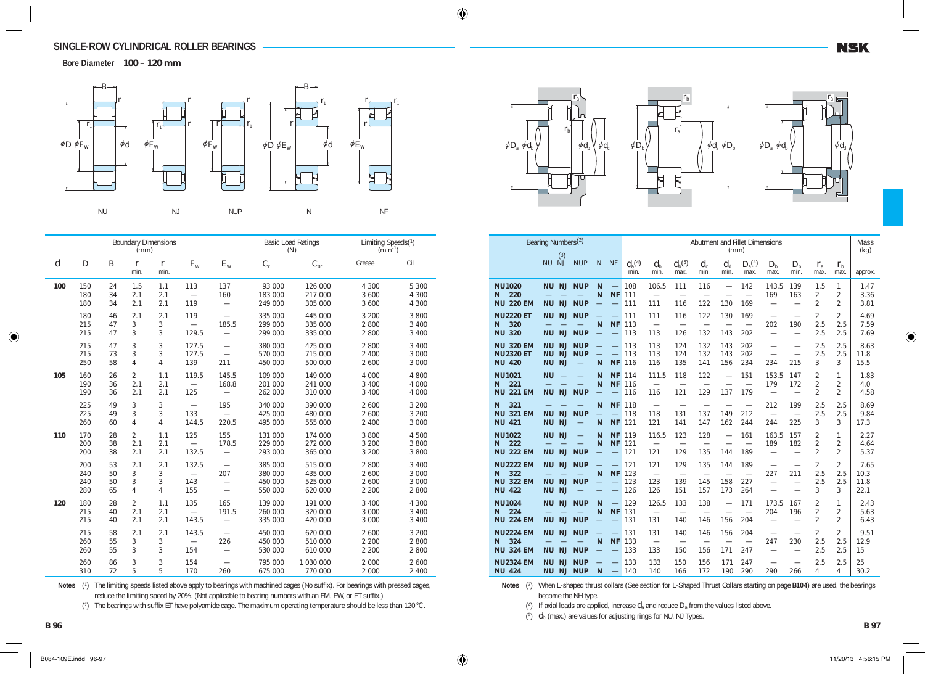**Bore Diameter 100 – 120 mm**



|                  |                          |                      | (mm)                            | <b>Boundary Dimensions</b>      |                                          |                                                             |                                          | <b>Basic Load Ratings</b><br>(N)         | Limiting Speeds(1)<br>$(min^{-1})$ |                                      |
|------------------|--------------------------|----------------------|---------------------------------|---------------------------------|------------------------------------------|-------------------------------------------------------------|------------------------------------------|------------------------------------------|------------------------------------|--------------------------------------|
| $\boldsymbol{d}$ | $\boldsymbol{D}$         | $\boldsymbol{B}$     | $\boldsymbol{r}$<br>min.        | $r_{1}$<br>min.                 | $F_{W}$                                  | $E_{\rm W}$                                                 | $C_{\rm r}$                              | $C_{0r}$                                 | Grease                             | Oil                                  |
| 100              | 150<br>180<br>180        | 24<br>34<br>34       | 1.5<br>2.1<br>2.1               | 1.1<br>2.1<br>2.1               | 113<br>$\overline{\phantom{0}}$<br>119   | 137<br>160<br>$\overline{\phantom{0}}$                      | 93 000<br>183 000<br>249 000             | 126 000<br>217 000<br>305 000            | 4 300<br>3 600<br>3 600            | 5 3 0 0<br>4 300<br>4 300            |
|                  | 180<br>215<br>215        | 46<br>47<br>47       | 2.1<br>3<br>3                   | 2.1<br>3<br>3                   | 119<br>129.5                             | 185.5                                                       | 335 000<br>299 000<br>299 000            | 445 000<br>335 000<br>335 000            | 3 200<br>2 800<br>2 800            | 3 800<br>3 400<br>3 400              |
|                  | 215<br>215<br>250        | 47<br>73<br>58       | 3<br>3<br>$\overline{4}$        | 3<br>3<br>4                     | 127.5<br>127.5<br>139                    | 211                                                         | 380 000<br>570 000<br>450 000            | 425 000<br>715 000<br>500 000            | 2 800<br>2 4 0 0<br>2 600          | 3 400<br>3 000<br>3 000              |
| 105              | 160<br>190<br>190        | 26<br>36<br>36       | $\overline{2}$<br>2.1<br>2.1    | 1.1<br>2.1<br>2.1               | 119.5<br>125                             | 145.5<br>168.8                                              | 109 000<br>201 000<br>262 000            | 149 000<br>241 000<br>310 000            | 4 000<br>3 4 0 0<br>3 4 0 0        | 4 800<br>4 0 0 0<br>4 0 0 0          |
|                  | 225<br>225<br>260        | 49<br>49<br>60       | 3<br>3<br>$\overline{4}$        | 3<br>3<br>$\overline{4}$        | 133<br>144.5                             | 195<br>220.5                                                | 340 000<br>425 000<br>495 000            | 390 000<br>480 000<br>555 000            | 2 600<br>2 600<br>2 4 0 0          | 3 200<br>3 200<br>3 0 0 0            |
| 110              | 170<br>200<br>200        | 28<br>38<br>38       | $\overline{2}$<br>2.1<br>2.1    | 1.1<br>2.1<br>2.1               | 125<br>$\equiv$<br>132.5                 | 155<br>178.5<br>$\overline{\phantom{0}}$                    | 131 000<br>229 000<br>293 000            | 174 000<br>272 000<br>365 000            | 3 800<br>3 200<br>3 200            | 4 500<br>3 800<br>3 800              |
|                  | 200<br>240<br>240<br>280 | 53<br>50<br>50<br>65 | 2.1<br>3<br>3<br>$\overline{4}$ | 2.1<br>3<br>3<br>$\overline{4}$ | 132.5<br>143<br>155                      | 207<br>$\overline{\phantom{0}}$<br>$\overline{\phantom{0}}$ | 385 000<br>380 000<br>450 000<br>550 000 | 515 000<br>435 000<br>525 000<br>620 000 | 2 800<br>2 600<br>2 600<br>2 2 0 0 | 3 4 0 0<br>3 0 0 0<br>3 000<br>2 800 |
| 120              | 180<br>215<br>215        | 28<br>40<br>40       | $\overline{2}$<br>2.1<br>2.1    | 1.1<br>2.1<br>2.1               | 135<br>$\overline{\phantom{0}}$<br>143.5 | 165<br>191.5                                                | 139 000<br>260 000<br>335 000            | 191 000<br>320 000<br>420 000            | 3 4 0 0<br>3 000<br>3 000          | 4 300<br>3 4 0 0<br>3 4 0 0          |
|                  | 215<br>260<br>260        | 58<br>55<br>55       | 2.1<br>3<br>3                   | 2.1<br>3<br>3                   | 143.5<br>154                             | 226<br>$\overline{\phantom{0}}$                             | 450 000<br>450 000<br>530 000            | 620 000<br>510 000<br>610 000            | 2 600<br>2 2 0 0<br>2 2 0 0        | 3 200<br>2 800<br>2 800              |
|                  | 260<br>310               | 86<br>72             | 3<br>5                          | 3<br>5                          | 154<br>170                               | 260                                                         | 795 000<br>675 000                       | 1 030 000<br>770 000                     | 2 000<br>2 000                     | 2 600<br>2 4 0 0                     |

Notes (<sup>1</sup>) The limiting speeds listed above apply to bearings with machined cages (No suffix). For bearings with pressed cages, reduce the limiting speed by 20%. (Not applicable to bearing numbers with an EM, EW, or ET suffix.)

(<sup>2</sup> ) The bearings with suffix ET have polyamide cage. The maximum operating temperature should be less than 120°C.

 $r<sub>i</sub>$  $\overline{r}$ j*D*<sup>a</sup> j*d*<sup>b</sup> j*d*<sup>b</sup> j*d*<sup>c</sup>





|                                                                   | Bearing Numbers <sup>(2)</sup>                                             |                                               |                                           |                                                     |                           |                                               |                                               |                                               | (mm)                                                        | Abutment and Fillet Dimensions                |                                                             |                                                             |                                                    |                                       | Mass<br>(kg)                 |
|-------------------------------------------------------------------|----------------------------------------------------------------------------|-----------------------------------------------|-------------------------------------------|-----------------------------------------------------|---------------------------|-----------------------------------------------|-----------------------------------------------|-----------------------------------------------|-------------------------------------------------------------|-----------------------------------------------|-------------------------------------------------------------|-------------------------------------------------------------|----------------------------------------------------|---------------------------------------|------------------------------|
|                                                                   | (3)<br>NU NJ                                                               | <b>NUP</b>                                    | $\mathsf{N}$                              | <b>NF</b>                                           | $d_{\rm a}^{(4)}$<br>min. | $d_{\rm b}$<br>min.                           | $d_{\mathrm{b}}^{(5)}$<br>max.                | $d_{c}$<br>min.                               | $d_{\rm d}$<br>min.                                         | $D_{\rm a}^{(4)}$<br>max.                     | $D_{\rm b}$<br>max.                                         | $D_{\rm b}$<br>min.                                         | $r_{\rm a}$<br>max.                                | $r_{\rm h}$<br>max.                   | approx.                      |
| <b>NU1020</b><br>220<br>N<br><b>NU 220 EM</b>                     | <b>NJ</b><br><b>NU</b><br><b>NU</b><br><b>NJ</b>                           | <b>NUP</b><br><b>NUP</b>                      | N<br>N<br>=                               | $\equiv$<br><b>NF</b><br>$\overline{\phantom{0}}$   | 108<br>111<br>111         | 106.5<br>111                                  | 111<br>$\overline{\phantom{0}}$<br>116        | 116<br>$\overline{\phantom{0}}$<br>122        | $\overline{\phantom{0}}$<br>$\overline{\phantom{0}}$<br>130 | 142<br>$\equiv$<br>169                        | 143.5<br>169<br>$\overline{\phantom{0}}$                    | 139<br>163<br>$\overline{\phantom{0}}$                      | 1.5<br>2<br>$\overline{2}$                         | 1<br>$\overline{2}$<br>$\mathfrak{D}$ | 1.47<br>3.36<br>3.81         |
| <b>NU2220 ET</b><br>320<br>N<br><b>NU 320</b>                     | <b>NJ</b><br><b>NU</b><br><b>NU</b><br><b>NJ</b>                           | <b>NUP</b><br><b>NUP</b>                      | $\overline{\phantom{0}}$<br>N             | $\overline{\phantom{0}}$<br><b>NF</b>               | 111<br>113<br>113         | 111<br>$\overbrace{\phantom{1232211}}$<br>113 | 116<br>$\overline{\phantom{0}}$<br>126        | 122<br>132                                    | 130<br>143                                                  | 169<br>$\overline{\phantom{0}}$<br>202        | $\overline{\phantom{0}}$<br>202<br>$\overline{\phantom{0}}$ | $\overline{\phantom{0}}$<br>190<br>$\overline{\phantom{0}}$ | $\overline{2}$<br>2.5<br>2.5                       | $\overline{2}$<br>2.5<br>2.5          | 4.69<br>7.59<br>7.69         |
| <b>NU 320 EM</b><br><b>NU2320 ET</b><br><b>NU 420</b>             | <b>NU</b><br><b>NJ</b><br><b>NU</b><br><b>NJ</b><br><b>NU</b><br><b>NJ</b> | <b>NUP</b><br><b>NUP</b><br>$\qquad \qquad -$ | $\overline{\phantom{0}}$<br>$\equiv$<br>N | <u>—</u><br>$\equiv$<br><b>NF</b>                   | 113<br>113<br>116         | 113<br>113<br>116                             | 124<br>124<br>135                             | 132<br>132<br>141                             | 143<br>143<br>156                                           | 202<br>202<br>234                             | $\overline{\phantom{0}}$<br>$\overline{\phantom{0}}$<br>234 | $\overline{\phantom{0}}$<br>215                             | 2.5<br>2.5<br>3                                    | 2.5<br>2.5<br>3                       | 8.63<br>11.8<br>15.5         |
| <b>NU1021</b><br>221<br>N<br><b>221 EM</b><br><b>NU</b>           | <b>NU</b><br><b>NJ</b><br><b>NU</b>                                        | <b>NUP</b>                                    | N<br>N<br>$\overline{\phantom{0}}$        | <b>NF</b><br><b>NF</b><br>$\qquad \qquad$           | 114<br>116<br>116         | 111.5<br>$\overline{\phantom{0}}$<br>116      | 118<br>$\overline{\phantom{0}}$<br>121        | 122<br>$\overline{\phantom{0}}$<br>129        | $\overline{\phantom{0}}$<br>137                             | 151<br>$\overline{\phantom{0}}$<br>179        | 153.5<br>179<br>$\overline{\phantom{0}}$                    | 147<br>172<br>$\overline{\phantom{0}}$                      | $\overline{2}$<br>$\overline{2}$<br>$\mathfrak{D}$ | 1<br>$\overline{2}$<br>$\mathfrak{D}$ | 1.83<br>4.0<br>4.58          |
| 321<br>N<br><b>NU 321 EM</b><br><b>NU 421</b>                     | <b>NJ</b><br><b>NU</b><br><b>NJ</b><br><b>NU</b>                           | <b>NUP</b><br>$\overline{\phantom{0}}$        | N<br>=<br>N                               | <b>NF</b><br>$\equiv$<br><b>NF</b>                  | 118<br>118<br>121         | $\overbrace{\phantom{1232211}}$<br>118<br>121 | $\overline{\phantom{0}}$<br>131<br>141        | 137<br>147                                    | $\overline{\phantom{0}}$<br>149<br>162                      | $\overline{\phantom{0}}$<br>212<br>244        | 212<br>$\equiv$<br>244                                      | 199<br>$\overline{\phantom{0}}$<br>225                      | 2.5<br>2.5<br>3                                    | 2.5<br>2.5<br>3                       | 8.69<br>9.84<br>17.3         |
| <b>NU1022</b><br>222<br>N<br><b>NU 222 EM</b>                     | <b>NU</b><br><b>NJ</b><br><b>NJ</b><br><b>NU</b>                           | $\equiv$<br><b>NUP</b>                        | N<br>N                                    | <b>NF</b><br><b>NF</b><br>$\overline{\phantom{0}}$  | 119<br>121<br>121         | 116.5<br>121                                  | 123<br>$\overline{\phantom{0}}$<br>129        | 128<br>135                                    | $\overline{\phantom{0}}$<br>144                             | 161<br>$\overline{\phantom{0}}$<br>189        | 163.5<br>189<br>$\overline{\phantom{0}}$                    | 157<br>182<br>$\overline{\phantom{0}}$                      | $\overline{2}$<br>$\overline{2}$<br>$\overline{2}$ | 1<br>$\overline{2}$<br>$\overline{2}$ | 2.27<br>4.64<br>5.37         |
| <b>NU2222 EM</b><br>322<br>N<br><b>NU 322 EM</b><br><b>NU 422</b> | <b>NJ</b><br><b>NU</b><br><b>NJ</b><br><b>NU</b><br><b>NU</b><br><b>NJ</b> | <b>NUP</b><br><b>NUP</b>                      | $\equiv$<br>N<br>$\overline{\phantom{0}}$ | <b>NF</b><br>$\equiv$<br>$\qquad \qquad -$          | 121<br>123<br>123<br>126  | 121<br>$\overline{\phantom{0}}$<br>123<br>126 | 129<br>$\overline{\phantom{0}}$<br>139<br>151 | 135<br>$\overline{\phantom{0}}$<br>145<br>157 | 144<br>$\overline{\phantom{0}}$<br>158<br>173               | 189<br>$\overline{\phantom{0}}$<br>227<br>264 | $\overline{\phantom{0}}$<br>227                             | $\overline{\phantom{0}}$<br>211                             | $\overline{2}$<br>2.5<br>2.5<br>3                  | $\overline{2}$<br>2.5<br>2.5<br>3     | 7.65<br>10.3<br>11.8<br>22.1 |
| <b>NU1024</b><br>224<br>N<br><b>NU 224 EM</b>                     | <b>NJ</b><br><b>NU</b><br><b>NJ</b><br><b>NU</b>                           | <b>NUP</b><br><b>NUP</b>                      | N<br>N<br>$\overline{\phantom{0}}$        | $\qquad \qquad -$<br><b>NF</b><br>$\qquad \qquad -$ | 129<br>131<br>131         | 126.5<br>$\equiv$<br>131                      | 133<br>$\overline{\phantom{0}}$<br>140        | 138<br>$\overline{\phantom{0}}$<br>146        | $\overline{\phantom{0}}$<br>$\overline{\phantom{0}}$<br>156 | 171<br>$\overline{\phantom{0}}$<br>204        | 173.5<br>204<br>$\overline{\phantom{0}}$                    | 167<br>196<br>$\overline{\phantom{0}}$                      | $\overline{2}$<br>$\overline{2}$<br>2              | 1<br>2<br>2                           | 2.43<br>5.63<br>6.43         |
| <b>NU2224 EM</b><br>324<br>N<br><b>NU 324 EM</b>                  | NJ<br><b>NU</b><br><b>NJ</b><br><b>NU</b>                                  | <b>NUP</b><br><b>NUP</b>                      | $\overline{\phantom{0}}$<br>N             | <b>NF</b>                                           | 131<br>133<br>133         | 131<br>$\overline{\phantom{0}}$<br>133        | 140<br>$\overline{\phantom{0}}$<br>150        | 146<br>$\overline{\phantom{0}}$<br>156        | 156<br>$\overline{\phantom{0}}$<br>171                      | 204<br>$\overline{\phantom{0}}$<br>247        | $\overline{\phantom{0}}$<br>247<br>$\overline{\phantom{0}}$ | 230                                                         | $\overline{2}$<br>2.5<br>2.5                       | $\mathfrak{D}$<br>2.5<br>2.5          | 9.51<br>12.9<br>15           |
| <b>NU2324 EM</b><br><b>NU 424</b>                                 | <b>NU</b><br><b>NJ</b><br><b>NU</b><br><b>NJ</b>                           | <b>NUP</b><br><b>NUP</b>                      | N                                         | $\equiv$                                            | 133<br>140                | 133<br>140                                    | 150<br>166                                    | 156<br>172                                    | 171<br>190                                                  | 247<br>290                                    | $\overline{\phantom{0}}$<br>290                             | 266                                                         | 2.5<br>4                                           | 2.5<br>4                              | 25<br>30.2                   |

Notes (<sup>3</sup>) When L-shaped thrust collars (See section for L-Shaped Thrust Collars starting on page **B104**) are used, the bearings become the NH type.

(<sup>4</sup> ) If axial loads are applied, increase *d*a and reduce *D*a from the values listed above.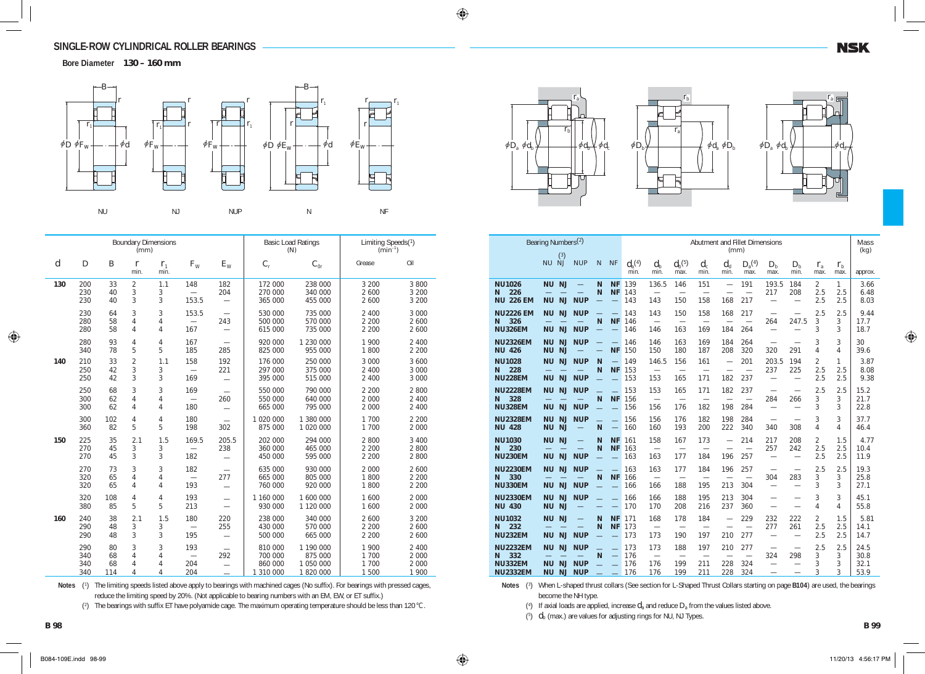**Bore Diameter 130 – 160 mm**



|                  |                          |                       | (mm)                     | <b>Boundary Dimensions</b> |                                          |                                                             |                                            | <b>Basic Load Ratings</b><br>(N)               | Limiting Speeds(1)<br>$(min^{-1})$ |                                        |
|------------------|--------------------------|-----------------------|--------------------------|----------------------------|------------------------------------------|-------------------------------------------------------------|--------------------------------------------|------------------------------------------------|------------------------------------|----------------------------------------|
| $\boldsymbol{d}$ | D                        | В                     | $\boldsymbol{r}$<br>min. | $r_{1}$<br>min.            | $F_{W}$                                  | $E_{\rm W}$                                                 | $C_{\rm r}$                                | $C_{0r}$                                       | Grease                             | Oil                                    |
| 130              | 200<br>230<br>230        | 33<br>40<br>40        | $\overline{2}$<br>3<br>3 | 1.1<br>3<br>3              | 148<br>$\overline{\phantom{0}}$<br>153.5 | 182<br>204<br>$\overline{\phantom{0}}$                      | 172 000<br>270 000<br>365 000              | 238 000<br>340 000<br>455 000                  | 3 200<br>2 600<br>2 600            | 3 800<br>3 2 0 0<br>3 200              |
|                  | 230<br>280<br>280        | 64<br>58<br>58        | 3<br>$\overline{4}$<br>4 | 3<br>4<br>4                | 153.5<br>167                             | $\qquad \qquad -$<br>243<br>$\overline{\phantom{0}}$        | 530 000<br>500 000<br>615 000              | 735 000<br>570 000<br>735 000                  | 2 4 0 0<br>2 2 0 0<br>2 2 0 0      | 3 0 0 0<br>2 600<br>2 600              |
|                  | 280<br>340               | 93<br>78              | 4<br>5                   | 4<br>5                     | 167<br>185                               | 285                                                         | 920 000<br>825 000                         | 1 230 000<br>955 000                           | 1 900<br>1800                      | 2 4 0 0<br>2 2 0 0                     |
| 140              | 210<br>250<br>250        | 33<br>42<br>42        | $\overline{c}$<br>3<br>3 | 1.1<br>3<br>3              | 158<br>169                               | 192<br>221<br>$\overline{\phantom{0}}$                      | 176 000<br>297 000<br>395 000              | 250 000<br>375 000<br>515 000                  | 3 000<br>2 4 0 0<br>2 4 0 0        | 3 600<br>3 000<br>3 0 0 0              |
|                  | 250<br>300<br>300        | 68<br>62<br>62        | 3<br>4<br>4              | 3<br>4<br>4                | 169<br>180                               | 260                                                         | 550 000<br>550 000<br>665 000              | 790 000<br>640 000<br>795 000                  | 2 2 0 0<br>2 0 0 0<br>2 0 0 0      | 2 800<br>2 4 0 0<br>2 400              |
|                  | 300<br>360               | 102<br>82             | 4<br>5                   | 4<br>5                     | 180<br>198                               | 302                                                         | 1 0 2 0 0 0 0<br>875 000                   | 1 380 000<br>1 020 000                         | 1 700<br>1 700                     | 2 2 0 0<br>2 0 0 0                     |
| 150              | 225<br>270<br>270        | 35<br>45<br>45        | 2.1<br>3<br>3            | 1.5<br>3<br>3              | 169.5<br>182                             | 205.5<br>238                                                | 202 000<br>360 000<br>450 000              | 294 000<br>465 000<br>595 000                  | 2 800<br>2 2 0 0<br>2 2 0 0        | 3 4 0 0<br>2 800<br>2 800              |
|                  | 270<br>320<br>320        | 73<br>65<br>65        | 3<br>4<br>4              | 3<br>4<br>4                | 182<br>$\overline{\phantom{0}}$<br>193   | 277<br>$\overline{\phantom{0}}$                             | 635 000<br>665 000<br>760 000              | 930 000<br>805 000<br>920 000                  | 2 0 0 0<br>1 800<br>1 800          | 2 600<br>2 2 0 0<br>2 2 0 0            |
|                  | 320<br>380               | 108<br>85             | 4<br>5                   | 4<br>5                     | 193<br>213                               | $\overline{\phantom{0}}$                                    | 1 160 000<br>930 000                       | 1 600 000<br>1 120 000                         | 1 600<br>1 600                     | 2 0 0 0<br>2 0 0 0                     |
| 160              | 240<br>290<br>290        | 38<br>48<br>48        | 2.1<br>$\sqrt{3}$<br>3   | 1.5<br>3<br>3              | 180<br>$\equiv$<br>195                   | 220<br>255                                                  | 238 000<br>430 000<br>500 000              | 340 000<br>570 000<br>665 000                  | 2 600<br>2 2 0 0<br>2 2 0 0        | 3 2 0 0<br>2 600<br>2 600              |
|                  | 290<br>340<br>340<br>340 | 80<br>68<br>68<br>114 | 3<br>4<br>4<br>4         | 3<br>4<br>4<br>4           | 193<br>204<br>204                        | $\overline{\phantom{0}}$<br>292<br>$\overline{\phantom{0}}$ | 810 000<br>700 000<br>860 000<br>1 310 000 | 1 190 000<br>875 000<br>1 050 000<br>1 820 000 | 1 900<br>1 700<br>1 700<br>1 500   | 2 4 0 0<br>2 0 0 0<br>2 0 0 0<br>1 900 |

Notes (<sup>1</sup>) The limiting speeds listed above apply to bearings with machined cages (No suffix). For bearings with pressed cages, reduce the limiting speed by 20%. (Not applicable to bearing numbers with an EM, EW, or ET suffix.)

(2) The bearings with suffix ET have polyamide cage. The maximum operating temperature should be less than 120°C.





|                                                                  | Bearing Numbers <sup>(2)</sup><br>(3)                                      |                                        |          |                                    |                          |                                               |                                        |                                        | (mm)                                                        | Abutment and Fillet Dimensions         |                                                             |                                 |                              |                     | Mass<br>(kg)                 |
|------------------------------------------------------------------|----------------------------------------------------------------------------|----------------------------------------|----------|------------------------------------|--------------------------|-----------------------------------------------|----------------------------------------|----------------------------------------|-------------------------------------------------------------|----------------------------------------|-------------------------------------------------------------|---------------------------------|------------------------------|---------------------|------------------------------|
|                                                                  | NU NJ                                                                      | <b>NUP</b>                             | N        | <b>NF</b>                          | $d_{a}^{(4)}$<br>min.    | $d_{\rm b}$<br>min.                           | $d_{\rm h}$ <sup>(5)</sup><br>max.     | $d_{c}$<br>min.                        | $d_{\rm d}$<br>min.                                         | $D_{\rm a}^{(4)}$<br>max.              | $D_{h}$<br>max.                                             | $D_{h}$<br>min.                 | $r_{\rm a}$<br>max.          | $r_{\rm h}$<br>max. | approx.                      |
| <b>NU1026</b><br>226<br>N<br><b>NU 226 EM</b>                    | <b>NU</b><br><b>NJ</b><br><b>NU</b><br><b>NJ</b>                           | <b>NUP</b>                             | N<br>N   | <b>NF</b><br><b>NF</b><br>$\equiv$ | 139<br>143<br>143        | 136.5<br>$\overline{\phantom{0}}$<br>143      | 146<br>$\overline{\phantom{0}}$<br>150 | 151<br>$\overline{\phantom{0}}$<br>158 | $\overline{\phantom{0}}$<br>$\overline{\phantom{0}}$<br>168 | 191<br>$\overline{\phantom{0}}$<br>217 | 193.5<br>217                                                | 184<br>208                      | 2<br>2.5<br>2.5              | 1<br>2.5<br>2.5     | 3.66<br>6.48<br>8.03         |
| <b>NU2226 EM</b><br>326<br>N<br><b>NU326EM</b>                   | <b>NU</b><br><b>NJ</b><br><b>NU</b><br><b>NJ</b>                           | <b>NUP</b><br><b>NUP</b>               | —<br>N   | $\equiv$<br><b>NF</b>              | 143<br>146<br>146        | 143<br>$\overline{\phantom{0}}$<br>146        | 150<br>$\overline{\phantom{0}}$<br>163 | 158<br>169                             | 168<br>184                                                  | 217<br>$\overline{\phantom{0}}$<br>264 | 264                                                         | 247.5                           | 2.5<br>3<br>3                | 2.5<br>3<br>3       | 9.44<br>17.7<br>18.7         |
| <b>NU2326EM</b><br><b>NU 426</b>                                 | <b>NU</b><br>NJ<br><b>NU</b><br><b>NJ</b>                                  | <b>NUP</b>                             | $\equiv$ | <b>NF</b>                          | 146<br>150               | 146<br>150                                    | 163<br>180                             | 169<br>187                             | 184<br>208                                                  | 264<br>320                             | 320                                                         | 291                             | 3<br>4                       | 3<br>4              | 30<br>39.6                   |
| <b>NU1028</b><br>228<br>N<br><b>NU228EM</b>                      | <b>NJ</b><br><b>NU</b><br><b>NU</b><br><b>NJ</b>                           | <b>NUP</b><br><b>NUP</b>               | N<br>N   | $\equiv$<br><b>NF</b>              | 149<br>153<br>153        | 146.5<br>$\overline{\phantom{0}}$<br>153      | 156<br>$\overline{\phantom{0}}$<br>165 | 161<br>$\overline{\phantom{0}}$<br>171 | $\overline{\phantom{0}}$<br>182                             | 201<br>$\overline{\phantom{0}}$<br>237 | 203.5<br>237<br>$\overline{\phantom{0}}$                    | 194<br>225                      | $\overline{2}$<br>2.5<br>2.5 | 1<br>2.5<br>2.5     | 3.87<br>8.08<br>9.38         |
| <b>NU2228EM</b><br>328<br>N<br><b>NU328EM</b>                    | <b>NU</b><br>NJ<br><b>NU</b><br><b>NJ</b>                                  | <b>NUP</b><br><b>NUP</b>               | N        | <b>NF</b>                          | 153<br>156<br>156        | 153<br>$\overline{\phantom{0}}$<br>156        | 165<br>$\overline{\phantom{0}}$<br>176 | 171<br>$\overline{\phantom{0}}$<br>182 | 182<br>$\overline{\phantom{0}}$<br>198                      | 237<br>$\overline{\phantom{0}}$<br>284 | $\overline{\phantom{0}}$<br>284<br>$\overline{\phantom{0}}$ | 266                             | 2.5<br>3<br>3                | 2.5<br>3<br>3       | 15.2<br>21.7<br>22.8         |
| <b>NU2328EM</b><br><b>NU 428</b>                                 | <b>NU</b><br><b>NJ</b><br><b>NU</b><br><b>NJ</b>                           | <b>NUP</b>                             | N        | $\qquad \qquad -$                  | 156<br>160               | 156<br>160                                    | 176<br>193                             | 182<br>200                             | 198<br>222                                                  | 284<br>340                             | $\overline{\phantom{0}}$<br>340                             | $\overline{\phantom{0}}$<br>308 | 3<br>4                       | 3<br>4              | 37.7<br>46.4                 |
| <b>NU1030</b><br>230<br>N<br><b>NU230EM</b>                      | <b>NJ</b><br><b>NU</b><br><b>NJ</b><br><b>NU</b>                           | <b>NUP</b>                             | N<br>N   | <b>NF</b><br><b>NF</b>             | 161<br>163<br>163        | 158<br>$\equiv$<br>163                        | 167<br>$\overline{\phantom{0}}$<br>177 | 173<br>$\overline{\phantom{0}}$<br>184 | $\overline{\phantom{0}}$<br>$\overline{\phantom{0}}$<br>196 | 214<br>$\equiv$<br>257                 | 217<br>257<br>$\overline{\phantom{0}}$                      | 208<br>242                      | $\overline{2}$<br>2.5<br>2.5 | 1.5<br>2.5<br>2.5   | 4.77<br>10.4<br>11.9         |
| <b>NU2230EM</b><br>330<br>N<br><b>NU330EM</b>                    | <b>NU</b><br><b>NJ</b><br>NJ<br><b>NU</b>                                  | <b>NUP</b><br><b>NUP</b>               | N        | <b>NF</b>                          | 163<br>166<br>166        | 163<br>$\overline{\phantom{0}}$<br>166        | 177<br>188                             | 184<br>195                             | 196<br>213                                                  | 257<br>304                             | $\overline{\phantom{0}}$<br>304<br>$\overline{\phantom{0}}$ | 283<br>$\overline{\phantom{0}}$ | 2.5<br>3<br>3                | 2.5<br>3<br>3       | 19.3<br>25.8<br>27.1         |
| <b>NU2330EM</b><br><b>NU 430</b>                                 | <b>NU</b><br>NJ<br><b>NU</b><br><b>NJ</b>                                  | <b>NUP</b>                             |          |                                    | 166<br>170               | 166<br>170                                    | 188<br>208                             | 195<br>216                             | 213<br>237                                                  | 304<br>360                             |                                                             |                                 | 3<br>4                       | 3<br>4              | 45.1<br>55.8                 |
| <b>NU1032</b><br>232<br>N<br><b>NU232EM</b>                      | <b>NU</b><br><b>NJ</b><br><b>NU</b><br><b>NJ</b>                           | <b>NUP</b>                             | N<br>N   | <b>NF</b><br><b>NF</b>             | 171<br>173<br>173        | 168<br>$\overline{\phantom{0}}$<br>173        | 178<br>$\overline{\phantom{0}}$<br>190 | 184<br>197                             | $\overline{\phantom{0}}$<br>210                             | 229<br>$\overline{\phantom{0}}$<br>277 | 232<br>277<br>$\overline{\phantom{0}}$                      | 222<br>261                      | $\overline{2}$<br>2.5<br>2.5 | 1.5<br>2.5<br>2.5   | 5.81<br>14.1<br>14.7         |
| <b>NU2232EM</b><br>332<br>N<br><b>NU332EM</b><br><b>NU2332EM</b> | <b>NU</b><br><b>NJ</b><br><b>NU</b><br><b>NJ</b><br><b>NU</b><br><b>NJ</b> | <b>NUP</b><br><b>NUP</b><br><b>NUP</b> | N        |                                    | 173<br>176<br>176<br>176 | 173<br>$\overline{\phantom{0}}$<br>176<br>176 | 188<br>199<br>199                      | 197<br>211<br>211                      | 210<br>228<br>228                                           | 277<br>324<br>324                      | $\overline{\phantom{0}}$<br>324                             | 298                             | 2.5<br>3<br>3<br>3           | 2.5<br>3<br>3<br>3  | 24.5<br>30.8<br>32.1<br>53.9 |

Notes (<sup>3</sup>) When L-shaped thrust collars (See section for L-Shaped Thrust Collars starting on page **B104**) are used, the bearings become the NH type.

(<sup>4</sup> ) If axial loads are applied, increase *d*a and reduce *D*a from the values listed above.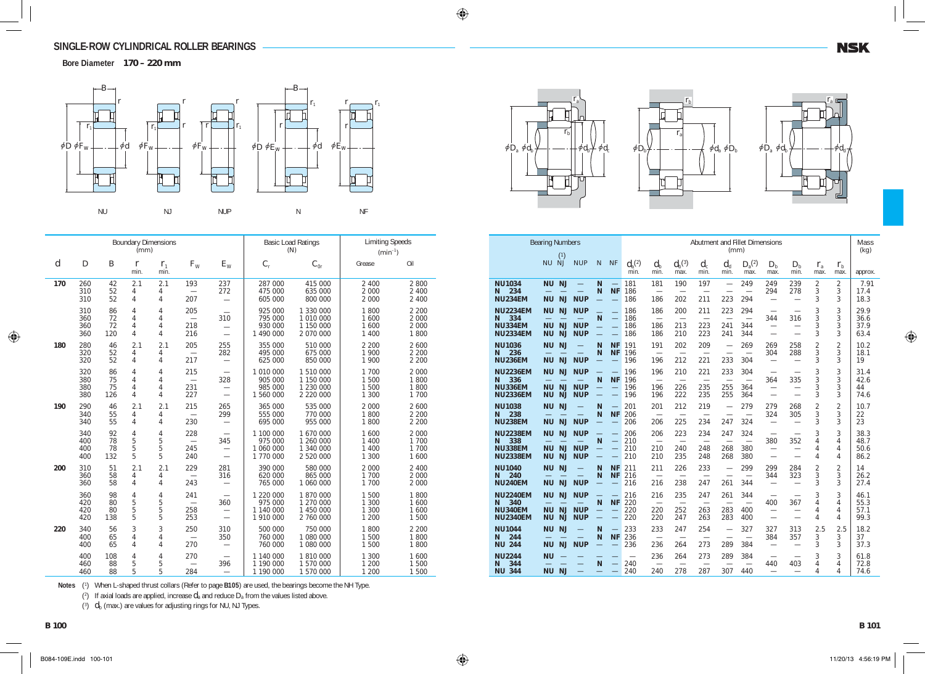**Bore Diameter 170 – 220 mm**



|                  |                          |                       | (mm)                     | <b>Boundary Dimensions</b>    |                                               |                                                             |                                                | <b>Basic Load Ratings</b><br>(N)                 | <b>Limiting Speeds</b><br>$(min^{-1})$ |                                     |
|------------------|--------------------------|-----------------------|--------------------------|-------------------------------|-----------------------------------------------|-------------------------------------------------------------|------------------------------------------------|--------------------------------------------------|----------------------------------------|-------------------------------------|
| $\boldsymbol{d}$ | $\boldsymbol{D}$         | $\boldsymbol{B}$      | $\boldsymbol{r}$<br>min. | $r_{1}$<br>min.               | $F_{W}$                                       | $E_{\rm W}$                                                 | $C_{\rm r}$                                    | $C_{0r}$                                         | Grease                                 | Oil                                 |
| 170              | 260<br>310<br>310        | 42<br>52<br>52        | 2.1<br>4<br>4            | 2.1<br>4<br>4                 | 193<br>$\equiv$<br>207                        | 237<br>272<br>$\overline{\phantom{0}}$                      | 287 000<br>475 000<br>605 000                  | 415 000<br>635 000<br>800 000                    | 2 400<br>2 0 0 0<br>2 0 0 0            | 2 800<br>2 4 0 0<br>2 4 0 0         |
|                  | 310<br>360<br>360<br>360 | 86<br>72<br>72<br>120 | 4<br>4<br>4<br>4         | 4<br>4<br>4<br>4              | 205<br>$\overline{\phantom{0}}$<br>218<br>216 | 310<br>$\overline{\phantom{0}}$<br>$\overline{\phantom{0}}$ | 925 000<br>795 000<br>930 000<br>1 490 000     | 1 330 000<br>1 010 000<br>1 150 000<br>2 070 000 | 1800<br>1 600<br>1 600<br>1 400        | 2 2 0 0<br>2 0 0 0<br>2 000<br>1800 |
| 180              | 280<br>320<br>320        | 46<br>52<br>52        | 2.1<br>4<br>4            | 2.1<br>4<br>4                 | 205<br>$\overline{\phantom{0}}$<br>217        | 255<br>282<br>$\overline{\phantom{0}}$                      | 355 000<br>495 000<br>625 000                  | 510 000<br>675 000<br>850 000                    | 2 200<br>1 900<br>1 900                | 2 600<br>2 2 0 0<br>2 2 0 0         |
|                  | 320<br>380<br>380<br>380 | 86<br>75<br>75<br>126 | 4<br>4<br>4<br>4         | 4<br>4<br>4<br>4              | 215<br>$\overline{\phantom{0}}$<br>231<br>227 | 328<br>$\overline{\phantom{0}}$<br>$\overline{\phantom{0}}$ | 1 010 000<br>905 000<br>985 000<br>1 560 000   | 1 510 000<br>1 150 000<br>1 230 000<br>2 220 000 | 1 700<br>1 500<br>1 500<br>1 300       | 2 0 0 0<br>1800<br>1800<br>1 700    |
| 190              | 290<br>340<br>340        | 46<br>55<br>55        | 2.1<br>4<br>4            | 2.1<br>4<br>4                 | 215<br>$\overline{\phantom{0}}$<br>230        | 265<br>299<br>$\overline{\phantom{0}}$                      | 365 000<br>555 000<br>695 000                  | 535 000<br>770 000<br>955 000                    | 2 000<br>1800<br>1800                  | 2 600<br>2 2 0 0<br>2 2 0 0         |
|                  | 340<br>400<br>400<br>400 | 92<br>78<br>78<br>132 | 4<br>5<br>5<br>5         | 4<br>5<br>$\mathbf 5$<br>5    | 228<br>$\equiv$<br>245<br>240                 | 345<br>$\overline{\phantom{0}}$<br>$\overline{\phantom{0}}$ | 1 100 000<br>975 000<br>1 060 000<br>1 770 000 | 1 670 000<br>1 260 000<br>1 340 000<br>2 520 000 | 1 600<br>1 400<br>1 400<br>1 300       | 2 0 0 0<br>1 700<br>1 700<br>1 600  |
| 200              | 310<br>360<br>360        | 51<br>58<br>58        | 2.1<br>4<br>4            | 2.1<br>4<br>4                 | 229<br>243                                    | 281<br>316<br>$\overline{\phantom{0}}$                      | 390 000<br>620 000<br>765 000                  | 580 000<br>865 000<br>1 060 000                  | 2 000<br>1 700<br>1 700                | 2 400<br>2 0 0 0<br>2 0 0 0         |
|                  | 360<br>420<br>420<br>420 | 98<br>80<br>80<br>138 | 4<br>5<br>5<br>5         | $\overline{4}$<br>5<br>5<br>5 | 241<br>$\overline{\phantom{0}}$<br>258<br>253 | 360<br>$\overline{\phantom{0}}$<br>$\overline{\phantom{0}}$ | 1 220 000<br>975 000<br>1 140 000<br>1 910 000 | 1870000<br>1 270 000<br>1 450 000<br>2 760 000   | 1 500<br>1 300<br>1 300<br>1 200       | 1800<br>1 600<br>1 600<br>1 500     |
| 220              | 340<br>400<br>400        | 56<br>65<br>65        | 3<br>4<br>4              | 3<br>4<br>4                   | 250<br>$\overline{\phantom{0}}$<br>270        | 310<br>350                                                  | 500 000<br>760 000<br>760 000                  | 750 000<br>1 080 000<br>1 080 000                | 1800<br>1 500<br>1 500                 | 2 2 0 0<br>1800<br>1800             |
|                  | 400<br>460<br>460        | 108<br>88<br>88       | 4<br>5<br>5              | 4<br>5<br>5                   | 270<br>284                                    | $\overline{\phantom{0}}$<br>396                             | 1 140 000<br>1 190 000<br>1 190 000            | 1810000<br>1 570 000<br>1 570 000                | 1 300<br>1 200<br>1 200                | 1 600<br>1 500<br>1 500             |







**NSK** 

|                                                                  | <b>Bearing Numbers</b>                                                     |                                        |                               |                                   |                           |                                               |                                               |                                               | (mm)                            | Abutment and Fillet Dimensions                |                                                                                         |                                                             |                          |                          | Mass<br>(kg)                 |
|------------------------------------------------------------------|----------------------------------------------------------------------------|----------------------------------------|-------------------------------|-----------------------------------|---------------------------|-----------------------------------------------|-----------------------------------------------|-----------------------------------------------|---------------------------------|-----------------------------------------------|-----------------------------------------------------------------------------------------|-------------------------------------------------------------|--------------------------|--------------------------|------------------------------|
|                                                                  | (1)<br><b>NU</b><br>NJ                                                     | <b>NUP</b>                             | N                             | <b>NF</b>                         | $d_{\rm a}^{(2)}$<br>min. | $d_{\rm b}$<br>min.                           | $d_{\mathrm{b}}^{(3)}$<br>max.                | $d_{c}$<br>min.                               | $d_{\rm d}$<br>min.             | $D_{\mathrm{a}}^{(2)}$<br>max.                | $D_{\rm b}$<br>max.                                                                     | $D_{\rm b}$<br>min.                                         | $r_{\rm a}$<br>max.      | $r_{\rm b}$<br>max.      | approx.                      |
| <b>NU1034</b><br>234<br>N<br><b>NU234EM</b>                      | <b>NJ</b><br><b>NU</b><br><b>NJ</b><br><b>NU</b>                           | <b>NUP</b>                             | N<br>N                        | $\equiv$<br><b>NF</b><br>$\equiv$ | 181<br>186<br>186         | 181<br>186                                    | 190<br>202                                    | 197<br>211                                    | $\overline{\phantom{0}}$<br>223 | 249<br>294                                    | 249<br>294<br>$\overline{\phantom{0}}$                                                  | 239<br>278<br>$\overline{\phantom{0}}$                      | 2<br>3<br>3              | $\overline{2}$<br>3<br>3 | 7.91<br>17.4<br>18.3         |
| <b>NU2234EM</b><br>334<br>N<br><b>NU334EM</b><br><b>NU2334EM</b> | <b>NJ</b><br>NU<br><b>NU</b><br><b>NJ</b><br><b>NU</b><br><b>NJ</b>        | <b>NUP</b><br><b>NUP</b><br><b>NUP</b> | N                             | $\equiv$                          | 186<br>186<br>186<br>186  | 186<br>$\overline{\phantom{0}}$<br>186<br>186 | 200<br>213<br>210                             | 211<br>$\overline{\phantom{0}}$<br>223<br>223 | 223<br>241<br>241               | 294<br>$\overline{\phantom{0}}$<br>344<br>344 | 344<br>$\overline{\phantom{0}}$                                                         | 316                                                         | 3<br>3<br>3<br>3         | 3<br>3<br>3<br>3         | 29.9<br>36.6<br>37.9<br>63.4 |
| <b>NU1036</b><br>236<br>N<br><b>NU236EM</b>                      | <b>NJ</b><br><b>NU</b><br><b>NU</b><br><b>NJ</b>                           | $\overline{\phantom{0}}$<br><b>NUP</b> | N<br>N                        | <b>NF</b><br><b>NF</b>            | 191<br>196<br>196         | 191<br>$\overline{\phantom{0}}$<br>196        | 202<br>$\overline{\phantom{0}}$<br>212        | 209<br>$\overline{\phantom{0}}$<br>221        | 233                             | 269<br>$\overline{\phantom{0}}$<br>304        | 269<br>304                                                                              | 258<br>288                                                  | $\overline{2}$<br>3<br>3 | $\overline{2}$<br>3<br>3 | 10.2<br>18.1<br>19           |
| <b>NU2236EM</b><br>336<br>N<br><b>NU336EM</b><br><b>NU2336EM</b> | NU<br><b>NJ</b><br><b>NU</b><br><b>NJ</b><br><b>NU</b><br><b>NJ</b>        | <b>NUP</b><br><b>NUP</b><br><b>NUP</b> | N<br>=                        | <b>NF</b><br>$\qquad \qquad$      | 196<br>196<br>196<br>196  | 196<br>$\overline{\phantom{0}}$<br>196<br>196 | 210<br>$\overline{\phantom{0}}$<br>226<br>222 | 221<br>235<br>235                             | 233<br>255<br>255               | 304<br>$\overline{\phantom{0}}$<br>364<br>364 | $\overline{\phantom{0}}$<br>364<br>$\overline{\phantom{0}}$<br>$\overline{\phantom{0}}$ | $\overline{\phantom{0}}$<br>335<br>$\overline{\phantom{0}}$ | 3<br>3<br>3<br>3         | 3<br>3<br>3<br>3         | 31.4<br>42.6<br>44<br>74.6   |
| <b>NU1038</b><br>238<br>N<br><b>NU238EM</b>                      | <b>NU</b><br><b>NJ</b><br><b>NJ</b><br><b>NU</b>                           | <b>NUP</b>                             | N<br>N                        | <b>NF</b>                         | 201<br>206<br>206         | 201<br>$\overline{\phantom{0}}$<br>206        | 212<br>$\overline{\phantom{0}}$<br>225        | 219<br>$\overline{\phantom{0}}$<br>234        | $\overline{\phantom{0}}$<br>247 | 279<br>$\overline{\phantom{0}}$<br>324        | 279<br>324                                                                              | 268<br>305                                                  | $\overline{2}$<br>3<br>3 | $\overline{2}$<br>3<br>3 | 10.7<br>22<br>23             |
| <b>NU2238EM</b><br>338<br>N<br><b>NU338EM</b><br><b>NU2338EM</b> | <b>NJ</b><br><b>NU</b><br>NJ<br>ΝU<br><b>NU</b><br><b>NJ</b>               | <b>NUP</b><br><b>NUP</b><br><b>NUP</b> | N                             | $\overline{\phantom{m}}$          | 206<br>210<br>210<br>210  | 206<br>210<br>210                             | 223<br>240<br>235                             | 234<br>248<br>248                             | 247<br>268<br>268               | 324<br>380<br>380                             | 380<br>$\overline{\phantom{0}}$                                                         | 352                                                         | 3<br>4<br>4<br>4         | 3<br>4<br>4<br>4         | 38.3<br>48.7<br>50.6<br>86.2 |
| <b>NU1040</b><br>240<br>N<br><b>NU240EM</b>                      | <b>NJ</b><br><b>NU</b><br><b>NJ</b><br><b>NU</b>                           | <b>NUP</b>                             | N<br>N                        | <b>NF</b><br><b>NF</b>            | 211<br>216<br>216         | 211<br>$\overline{\phantom{0}}$<br>216        | 226<br>238                                    | 233<br>$\overline{\phantom{0}}$<br>247        | 261                             | 299<br>344                                    | 299<br>344<br>$\overline{\phantom{0}}$                                                  | 284<br>323<br>$\overline{\phantom{0}}$                      | $\overline{2}$<br>3<br>3 | $\overline{2}$<br>3<br>3 | 14<br>26.2<br>27.4           |
| <b>NU2240EM</b><br>340<br>N<br><b>NU340EM</b><br><b>NU2340EM</b> | <b>NJ</b><br><b>NU</b><br><b>NU</b><br><b>NJ</b><br><b>NU</b><br><b>NJ</b> | <b>NUP</b><br><b>NUP</b><br><b>NUP</b> | N<br>$\overline{\phantom{0}}$ | <b>NF</b>                         | 216<br>220<br>220<br>220  | 216<br>220<br>220                             | 235<br>$\overline{\phantom{a}}$<br>252<br>247 | 247<br>$\overline{\phantom{0}}$<br>263<br>263 | 261<br>283<br>283               | 344<br>400<br>400                             | 400<br>$\overline{\phantom{0}}$                                                         | 367                                                         | 3<br>4<br>4<br>4         | 3<br>4<br>4<br>4         | 46.1<br>55.3<br>57.1<br>99.3 |
| <b>NU1044</b><br>244<br>N<br><b>NU 244</b>                       | <b>NJ</b><br><b>NU</b><br><b>NU</b><br><b>NJ</b>                           | <b>NUP</b>                             | N<br>N                        | <b>NF</b>                         | 233<br>236<br>236         | 233<br>$\overline{\phantom{0}}$<br>236        | 247<br>264                                    | 254<br>273                                    | $\overline{\phantom{0}}$<br>289 | 327<br>384                                    | 327<br>384<br>$\overline{\phantom{0}}$                                                  | 313<br>357                                                  | 2.5<br>3<br>3            | 2.5<br>3<br>3            | 18.2<br>37<br>37.3           |
| <b>NU2244</b><br>344<br>N<br><b>NU 344</b>                       | <b>NU</b><br><b>NU</b><br><b>NJ</b>                                        |                                        | N                             |                                   | 240<br>240                | 236<br>240                                    | 264<br>278                                    | 273<br>287                                    | 289<br>307                      | 384<br>440                                    | $\overline{\phantom{0}}$<br>440<br>$\overline{\phantom{0}}$                             | 403<br>$\overline{\phantom{0}}$                             | 3<br>4<br>4              | 3<br>4<br>4              | 61.8<br>72.8<br>74.6         |

**Notes** (<sup>1</sup> ) When L-shaped thrust collars (Refer to page **B105**) are used, the bearings become the NH Type.

 $(2)$  If axial loads are applied, increase  $d_a$  and reduce  $D_a$  from the values listed above.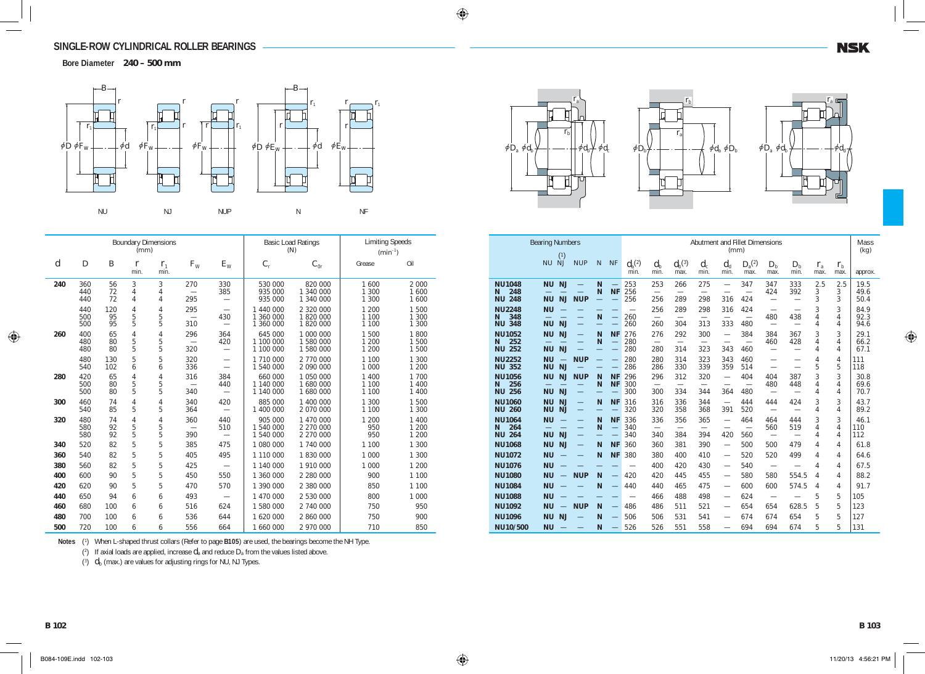**Bore Diameter 240 – 500 mm**



|                  |                   |                 | (mm)                 | <b>Boundary Dimensions</b> |                                        |                                                             |                                     | <b>Basic Load Ratings</b><br>(N)    | <b>Limiting Speeds</b><br>$(min^{-1})$ |                           |
|------------------|-------------------|-----------------|----------------------|----------------------------|----------------------------------------|-------------------------------------------------------------|-------------------------------------|-------------------------------------|----------------------------------------|---------------------------|
| $\boldsymbol{d}$ | $\boldsymbol{D}$  | B               | $\mathbf{r}$<br>min. | $r_{1}$<br>min.            | $F_{\rm W}$                            | $E_{\rm W}$                                                 | $C_{\rm r}$                         | $C_{0r}$                            | Grease                                 | Oil                       |
| 240              | 360<br>440<br>440 | 56<br>72<br>72  | 3<br>4<br>4          | 3<br>4<br>4                | 270<br>295                             | 330<br>385<br>$\overline{\phantom{0}}$                      | 530 000<br>935 000<br>935 000       | 820 000<br>1 340 000<br>1 340 000   | 1 600<br>1 300<br>1 300                | 2 0 0 0<br>1600<br>1 600  |
|                  | 440<br>500<br>500 | 120<br>95<br>95 | 4<br>5<br>5          | 4<br>5<br>5                | 295<br>$\overline{\phantom{0}}$<br>310 | $\overline{\phantom{0}}$<br>430<br>$\overline{\phantom{0}}$ | 1 440 000<br>1 360 000<br>1 360 000 | 2 320 000<br>1820000<br>1 820 000   | 1 200<br>1 100<br>1 100                | 1 500<br>1 300<br>1 300   |
| 260              | 400<br>480<br>480 | 65<br>80<br>80  | 4<br>5<br>5          | 4<br>5<br>5                | 296<br>320                             | 364<br>420                                                  | 645 000<br>1 100 000<br>1 100 000   | 1 000 000<br>1 580 000<br>1 580 000 | 1 500<br>1 200<br>1 200                | 1800<br>1 500<br>1 500    |
|                  | 480<br>540        | 130<br>102      | 5<br>6               | 5<br>6                     | 320<br>336                             |                                                             | 1 710 000<br>1 540 000              | 2 770 000<br>2 090 000              | 1 100<br>1 000                         | 1 300<br>1 200            |
| 280              | 420<br>500<br>500 | 65<br>80<br>80  | 4<br>5<br>5          | 4<br>5<br>5                | 316<br>340                             | 384<br>440<br>$\overline{\phantom{0}}$                      | 660 000<br>1 140 000<br>1 140 000   | 1 050 000<br>1 680 000<br>1 680 000 | 1 400<br>1 100<br>1 100                | 1 700<br>1 400<br>1 4 0 0 |
| 300              | 460<br>540        | 74<br>85        | 4<br>5               | 4<br>5                     | 340<br>364                             | 420                                                         | 885 000<br>1 400 000                | 1 400 000<br>2 070 000              | 1 300<br>1 100                         | 1 500<br>1 300            |
| 320              | 480<br>580<br>580 | 74<br>92<br>92  | 4<br>5<br>5          | 4<br>5<br>5                | 360<br>390                             | 440<br>510                                                  | 905 000<br>1 540 000<br>1 540 000   | 1 470 000<br>2 270 000<br>2 270 000 | 1 200<br>950<br>950                    | 1 400<br>1 200<br>1 200   |
| 340              | 520               | 82              | 5                    | 5                          | 385                                    | 475                                                         | 1 080 000                           | 1 740 000                           | 1 100                                  | 1 300                     |
| 360              | 540               | 82              | 5                    | 5                          | 405                                    | 495                                                         | 1 110 000                           | 1830000                             | 1 000                                  | 1 300                     |
| 380              | 560               | 82              | 5                    | 5                          | 425                                    |                                                             | 1 140 000                           | 1 910 000                           | 1 000                                  | 1 200                     |
| 400              | 600               | 90              | 5                    | 5                          | 450                                    | 550                                                         | 1 360 000                           | 2 280 000                           | 900                                    | 1 100                     |
| 420              | 620               | 90              | 5                    | 5                          | 470                                    | 570                                                         | 1 390 000                           | 2 380 000                           | 850                                    | 1 100                     |
| 440              | 650               | 94              | 6                    | 6                          | 493                                    | $\overline{\phantom{0}}$                                    | 1 470 000                           | 2 530 000                           | 800                                    | 1 000                     |
| 460              | 680               | 100             | 6                    | 6                          | 516                                    | 624                                                         | 1 580 000                           | 2 740 000                           | 750                                    | 950                       |
| 480              | 700               | 100             | 6                    | 6                          | 536                                    | 644                                                         | 1 620 000                           | 2 860 000                           | 750                                    | 900                       |
| 500              | 720               | 100             | 6                    | 6                          | 556                                    | 664                                                         | 1 660 000                           | 2 970 000                           | 710                                    | 850                       |



(2) If axial loads are applied, increase  $d_a$  and reduce  $D_a$  from the values listed above.







|                                               | <b>Bearing Numbers</b> |                                       |                                        |                                    |                                                                   |                           |                                             |                                        |                                        | (mm)                                                        | Abutment and Fillet Dimensions                |                                                      |                                        |                     |                     | Mass<br>(kg)         |
|-----------------------------------------------|------------------------|---------------------------------------|----------------------------------------|------------------------------------|-------------------------------------------------------------------|---------------------------|---------------------------------------------|----------------------------------------|----------------------------------------|-------------------------------------------------------------|-----------------------------------------------|------------------------------------------------------|----------------------------------------|---------------------|---------------------|----------------------|
|                                               | <b>NU</b>              | (1)<br><b>NJ</b>                      | <b>NUP</b>                             | $\mathbb N$                        | <b>NF</b>                                                         | $d_{\rm a}^{(2)}$<br>min. | $d_{\rm h}$<br>min.                         | $d_{\rm b}^{\;\; (3)}$<br>max.         | $d_{c}$<br>min.                        | $d_{\rm d}$<br>min.                                         | $D_{\rm a}^{(2)}$<br>max.                     | $D_{\rm b}$<br>max.                                  | $D_{\rm h}$<br>min.                    | $r_{\rm a}$<br>max. | $r_{\rm b}$<br>max. | approx.              |
| <b>NU1048</b><br>248<br>N<br>248<br><b>NU</b> | <b>NU</b><br><b>NU</b> | <b>NJ</b><br><b>NJ</b>                | $\overline{\phantom{0}}$<br><b>NUP</b> | N<br>N<br>$\overline{\phantom{0}}$ | $\qquad \qquad$<br><b>NF</b>                                      | 253<br>256<br>256         | 253<br>$\overbrace{\phantom{12332}}$<br>256 | 266<br>289                             | 275<br>$\overline{\phantom{0}}$<br>298 | $\overline{\phantom{0}}$<br>316                             | 347<br>$\overline{\phantom{0}}$<br>424        | 347<br>424<br>$\overline{\phantom{0}}$               | 333<br>392                             | 2.5<br>3<br>3       | 2.5<br>3<br>3       | 19.5<br>49.6<br>50.4 |
| <b>NU2248</b><br>348<br>N<br><b>NU 348</b>    | <b>NU</b><br><b>NU</b> | <b>NJ</b>                             | $\overline{\phantom{0}}$               | $\mathsf{N}$                       | $\overline{\phantom{0}}$<br>$\overline{\phantom{0}}$              | 260<br>260                | 256<br>260                                  | 289<br>304                             | 298<br>313                             | 316<br>333                                                  | 424<br>$\overbrace{\phantom{1232211}}$<br>480 | $\overline{\phantom{0}}$<br>480                      | 438                                    | 3<br>4<br>4         | 3<br>4<br>4         | 84.9<br>92.3<br>94.6 |
| <b>NU1052</b><br>252<br>N<br><b>NU 252</b>    | <b>NU</b><br><b>NU</b> | <b>NJ</b><br><b>NJ</b>                | $\overline{\phantom{0}}$               | N<br>N                             | <b>NF</b><br>$\overline{\phantom{0}}$<br>$\overline{\phantom{0}}$ | 276<br>280<br>280         | 276<br>$\overline{\phantom{0}}$<br>280      | 292<br>314                             | 300<br>323                             | $\overline{\phantom{0}}$<br>$\overline{\phantom{0}}$<br>343 | 384<br>460                                    | 384<br>460<br>$\overline{\phantom{0}}$               | 367<br>428<br>$\overline{\phantom{0}}$ | 3<br>4<br>4         | 3<br>4<br>4         | 29.1<br>66.2<br>67.1 |
| <b>NU2252</b><br><b>NU 352</b>                | <b>NU</b><br><b>NU</b> | <b>NJ</b>                             | <b>NUP</b>                             |                                    | $\equiv$                                                          | 280<br>286                | 280<br>286                                  | 314<br>330                             | 323<br>339                             | 343<br>359                                                  | 460<br>514                                    | $\overline{\phantom{0}}$<br>$\overline{\phantom{0}}$ | $\overline{\phantom{0}}$               | 4<br>5              | 4<br>5              | 111<br>118           |
| <b>NU1056</b><br>256<br>N<br>256<br><b>NU</b> | <b>NU</b><br><b>NU</b> | <b>NJ</b><br><b>NJ</b>                | <b>NUP</b><br>$\overline{\phantom{0}}$ | N<br>N                             | <b>NF</b><br><b>NF</b>                                            | 296<br>300<br>300         | 296<br>$\overline{\phantom{0}}$<br>300      | 312<br>$\overline{\phantom{0}}$<br>334 | 320<br>$\overline{\phantom{0}}$<br>344 | 364                                                         | 404<br>480                                    | 404<br>480                                           | 387<br>448<br>$\overline{\phantom{0}}$ | 3<br>4<br>4         | 3<br>4<br>4         | 30.8<br>69.6<br>70.7 |
| <b>NU1060</b><br><b>NU 260</b>                | <b>NU</b><br><b>NU</b> | <b>NJ</b><br><b>NJ</b>                | $\equiv$<br>$\overline{\phantom{0}}$   | N                                  | <b>NF</b><br>÷.                                                   | 316<br>320                | 316<br>320                                  | 336<br>358                             | 344<br>368                             | $\overline{\phantom{0}}$<br>391                             | 444<br>520                                    | 444                                                  | 424<br>$\overline{\phantom{0}}$        | 3<br>4              | 3<br>4              | 43.7<br>89.2         |
| <b>NU1064</b><br>264<br>N<br><b>NU 264</b>    | <b>NU</b><br><b>NU</b> | <b>NJ</b>                             | $\overline{\phantom{0}}$<br>$\equiv$   | N<br>N                             | <b>NF</b><br>$\overline{\phantom{0}}$<br>$\overline{\phantom{0}}$ | 336<br>340<br>340         | 336<br>340                                  | 356<br>384                             | 365<br>$\overline{\phantom{0}}$<br>394 | $\overline{\phantom{0}}$<br>420                             | 464<br>$\overline{\phantom{0}}$<br>560        | 464<br>560<br>$\overbrace{\phantom{1232211}}$        | 444<br>519<br>$\overline{\phantom{0}}$ | 3<br>4<br>4         | 3<br>4<br>4         | 46.1<br>110<br>112   |
| <b>NU1068</b><br><b>NU1072</b>                | <b>NU</b><br><b>NU</b> | <b>NJ</b>                             | $\overline{\phantom{0}}$               | N<br>N                             | <b>NF</b><br><b>NF</b>                                            | 360<br>380                | 360<br>380                                  | 381<br>400                             | 390<br>410                             | $\overline{\phantom{0}}$<br>$\overline{\phantom{0}}$        | 500<br>520                                    | 500<br>520                                           | 479<br>499                             | 4<br>4              | 4<br>4              | 61.8<br>64.6         |
| <b>NU1076</b><br><b>NU1080</b>                | <b>NU</b><br><b>NU</b> | $-$                                   | <b>NUP</b>                             | N                                  | $\overline{\phantom{m}}$                                          | 420                       | 400<br>420                                  | 420<br>445                             | 430<br>455                             | $\overbrace{\phantom{12333}}$<br>$\overline{\phantom{0}}$   | 540<br>580                                    | 580                                                  | $\overline{\phantom{0}}$<br>554.5      | 4<br>4              | 4<br>4              | 67.5<br>88.2         |
| <b>NU1084</b><br><b>NU1088</b>                | <b>NU</b><br><b>NU</b> |                                       |                                        | N                                  | $\overline{\phantom{0}}$                                          | 440                       | 440<br>466                                  | 465<br>488                             | 475<br>498                             |                                                             | 600<br>624                                    | 600                                                  | 574.5                                  | 4<br>5              | 4<br>5              | 91.7<br>105          |
| <b>NU1092</b><br><b>NU1096</b>                | <b>NU</b><br><b>NU</b> | $\overline{\phantom{m}}$<br><b>NJ</b> | <b>NUP</b>                             | N<br>N                             | $\qquad \qquad -$                                                 | 486<br>506                | 486<br>506                                  | 511<br>531                             | 521<br>541                             | $\overline{\phantom{0}}$<br>$\overline{\phantom{0}}$        | 654<br>674                                    | 654<br>674                                           | 628.5<br>654                           | 5<br>5              | 5<br>5              | 123<br>127           |
| NU10/500                                      | <b>NU</b>              |                                       |                                        | N                                  |                                                                   | 526                       | 526                                         | 551                                    | 558                                    | $\overline{\phantom{0}}$                                    | 694                                           | 694                                                  | 674                                    | 5                   | 5                   | 131                  |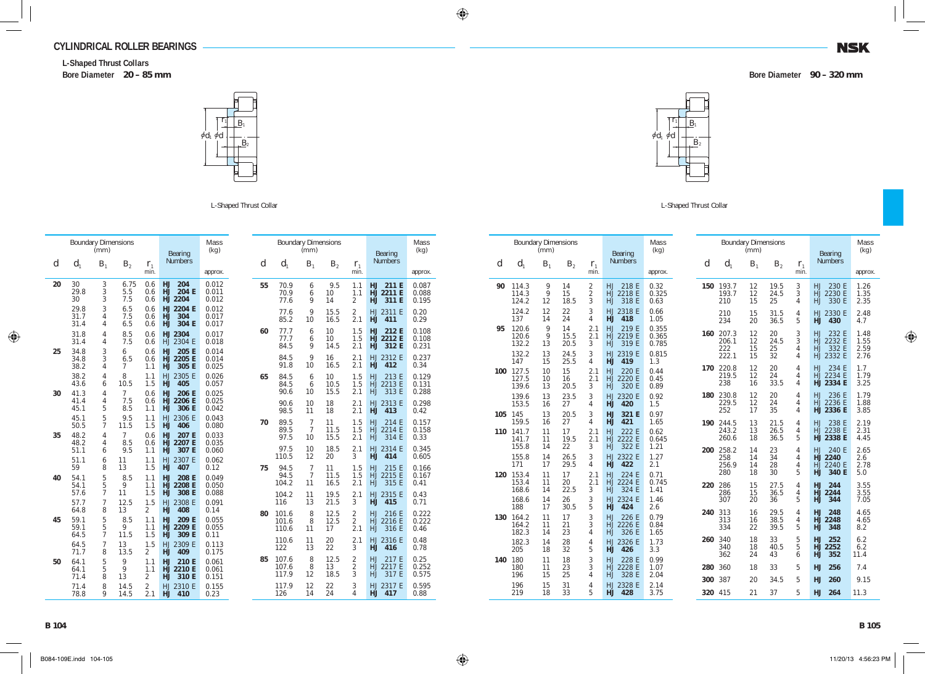#### **CYLINDRICAL ROLLER BEARINGS**

**L-Shaped Thrust Collars Bore Diameter 20 – 85 mm Bore Diameter 90 – 320 mm**



L-Shaped Thrust Collar

|    | <b>Boundary Dimensions</b> | (mm)                     |                             |                              | Bearing                                                | Mass<br>(kq)            |    |                         | (mm)                             | <b>Boundary Dimensions</b> |                                       | Bearing                                        | Mass<br>(kg)            |
|----|----------------------------|--------------------------|-----------------------------|------------------------------|--------------------------------------------------------|-------------------------|----|-------------------------|----------------------------------|----------------------------|---------------------------------------|------------------------------------------------|-------------------------|
| d  | $d_1$                      | B <sub>1</sub>           | B <sub>2</sub>              | $r_{1}$<br>min.              | <b>Numbers</b>                                         | approx.                 | d  | $d_1$                   | B <sub>1</sub>                   | B <sub>2</sub>             | $r_{1}$<br>min.                       | <b>Numbers</b>                                 | approx.                 |
| 20 | 30<br>29.8<br>30           | 3<br>3<br>3              | 6.75<br>5.5<br>7.5          | 0.6<br>0.6<br>0.6            | 204<br><b>HJ</b><br>204 E<br>HJ.<br>HJ 2204            | 0.012<br>0.011<br>0.012 | 55 | 70.9<br>70.9<br>77.6    | 6<br>6<br>9                      | 9.5<br>10<br>14            | 1.1<br>1.1<br>$\overline{2}$          | <b>HJ</b><br>211 E<br>HJ 2211 E<br>311 E<br>HJ | 0.087<br>0.088<br>0.195 |
|    | 29.8<br>31.7<br>31.4       | 3<br>$\overline{4}$<br>4 | 6.5<br>7.5<br>6.5           | 0.6<br>0.6<br>0.6            | HJ 2204 E<br>304<br>HJ<br><b>HJ</b><br>304 E           | 0.012<br>0.017<br>0.017 |    | 77.6<br>85.2            | 9<br>10                          | 15.5<br>16.5               | $\overline{a}$<br>2.1                 | HJ 2311 E<br><b>HJ</b><br>411                  | 0.20<br>0.29            |
|    | 31.8<br>31.4               | 4<br>4                   | 8.5<br>7.5                  | 0.6<br>0.6                   | HJ 2304<br>HJ 2304 E                                   | 0.017<br>0.018          | 60 | 77.7<br>77.7<br>84.5    | 6<br>6<br>9                      | 10<br>10<br>14.5           | 1.5<br>1.5<br>2.1                     | HJ<br>212 E<br>HJ 2212 E<br>HJ 312 E           | 0.108<br>0.108<br>0.231 |
| 25 | 34.8<br>34.8<br>38.2       | 3<br>3<br>4              | 6<br>6.5<br>$7\overline{ }$ | 0.6<br>0.6<br>1.1            | HJ.<br>205 E<br>HJ 2205 E<br>305 E<br>HJ.              | 0.014<br>0.014<br>0.025 |    | 84.5<br>91.8            | 9<br>10                          | 16<br>16.5                 | 2.1<br>2.1                            | HJ 2312 E<br>HJ<br>412                         | 0.237<br>0.34           |
|    | 38.2<br>43.6               | 4<br>6                   | 8<br>10.5                   | 1.1<br>1.5                   | HJ 2305 E<br>405<br>HJ.                                | 0.026<br>0.057          | 65 | 84.5<br>84.5<br>90.6    | 6<br>6<br>10                     | 10<br>10.5<br>15.5         | 1.5<br>1.5<br>2.1                     | HJ<br>213 E<br>HJ 2213 E<br>313 E<br><b>HJ</b> | 0.129<br>0.131<br>0.288 |
| 30 | 41.3<br>41.4<br>45.1       | $\overline{4}$<br>4<br>5 | 7<br>7.5<br>8.5             | 0.6<br>0.6<br>1.1            | <b>HJ</b><br>206 E<br>HJ 2206 E<br>306 E<br><b>HJ</b>  | 0.025<br>0.025<br>0.042 |    | 90.6<br>98.5            | 10<br>11                         | 18<br>18                   | 2.1<br>2.1                            | HJ 2313 E<br>413<br>HJ                         | 0.298<br>0.42           |
|    | 45.1<br>50.5<br>48.2       | 5<br>$\overline{7}$      | 9.5<br>11.5<br>$7^{\circ}$  | 1.1<br>1.5                   | HJ 2306 E<br>406<br>HJ<br><b>HJ</b>                    | 0.043<br>0.080<br>0.033 | 70 | 89.5<br>89.5            | $\overline{7}$<br>$\overline{7}$ | 11<br>11.5                 | 1.5<br>1.5                            | HJ<br>214 E<br>HJ 2214 E                       | 0.157<br>0.158          |
| 35 | 48.2<br>51.1               | 4<br>4<br>6              | 8.5<br>9.5                  | 0.6<br>0.6<br>1.1            | 207 E<br>HJ 2207 E<br>307 E<br>HJ.                     | 0.035<br>0.060          |    | 97.5<br>97.5<br>110.5   | 10<br>10<br>12                   | 15.5<br>18.5<br>20         | 2.1<br>2.1<br>3                       | 314 E<br>HJ<br>HJ 2314 E<br>HJ<br>414          | 0.33<br>0.345<br>0.605  |
|    | 51.1<br>59                 | 6<br>8                   | 11<br>13                    | 1.1<br>1.5                   | HJ.<br>2307 E<br>HJ<br>407                             | 0.062<br>0.12           | 75 | 94.5<br>94.5            | $\overline{7}$<br>$\overline{7}$ | 11<br>11.5                 | 1.5<br>1.5                            | HJ<br>215 E<br>HJ 2215 E                       | 0.166<br>0.167          |
| 40 | 54.1<br>54.1<br>57.6       | 5<br>5<br>$\overline{7}$ | 8.5<br>9<br>11              | 1.1<br>1.1<br>1.5            | 208 E<br><b>HJ</b><br><b>HJ 2208 E</b><br>HJ.<br>308 E | 0.049<br>0.050<br>0.088 |    | 104.2<br>104.2          | 11<br>11                         | 16.5<br>19.5               | 2.1<br>2.1                            | 315 E<br>HJ.<br>HJ 2315 E                      | 0.41<br>0.43            |
|    | 57.7<br>64.8               | $\overline{7}$<br>8      | 12.5<br>13                  | 1.5<br>$\overline{2}$        | HJ 2308 E<br>408<br>HJ.                                | 0.091<br>0.14           | 80 | 116<br>101.6            | 13<br>8                          | 21.5<br>12.5               | 3<br>$\overline{2}$                   | 415<br>HJ<br>HJ<br>216 E                       | 0.71<br>0.222           |
| 45 | 59.1<br>59.1<br>64.5       | 5<br>5<br>$\overline{7}$ | 8.5<br>9<br>11.5            | 1.1<br>1.1<br>1.5            | 209 E<br>HJ.<br>HJ 2209 E<br>HJ<br>309 E               | 0.055<br>0.055<br>0.11  |    | 101.6<br>110.6          | 8<br>11                          | 12.5<br>17                 | 2<br>2.1                              | HJ 2216 E<br>316 E<br>HJ.                      | 0.222<br>0.46           |
|    | 64.5<br>71.7               | $\overline{7}$<br>8      | 13<br>13.5                  | 1.5<br>$\overline{2}$        | H.J 2309 F<br>409<br>HJ.                               | 0.113<br>0.175          |    | 110.6<br>122            | 11<br>13                         | 20<br>22                   | 2.1<br>3                              | HJ 2316 E<br>416<br>HJ.                        | 0.48<br>0.78            |
| 50 | 64.1<br>64.1<br>71.4       | 5<br>5<br>8              | 9<br>9<br>13                | 1.1<br>1.1<br>$\overline{2}$ | HJ.<br>210 E<br>HJ 2210 E<br>HJ<br>310 E               | 0.061<br>0.061<br>0.151 | 85 | 107.6<br>107.6<br>117.9 | 8<br>8<br>12                     | 12.5<br>13<br>18.5         | $\overline{2}$<br>$\overline{2}$<br>3 | HJ<br>217 E<br>HJ 2217 E<br>317 E<br>HJ        | 0.25<br>0.252<br>0.575  |
|    | 71.4<br>78.8               | 8<br>9                   | 14.5<br>14.5                | 2<br>2.1                     | HJ 2310 E<br>HJ.<br>410                                | 0.155<br>0.23           |    | 117.9<br>126            | 12<br>14                         | 22<br>24                   | 3<br>4                                | HJ.<br>2317 E<br>HJ<br>417                     | 0.595<br>0.88           |



|  | __ |  |
|--|----|--|
|  |    |  |

L-Shaped Thrust Collar

|     | <b>Boundary Dimensions</b>  | (mm)           |                    |                          | Bearing                                   | Mass<br>(kq)            |                  | <b>Boundary Dimensions</b> | (mm)           |                      |                          | <b>Bearing</b>                             | Mass<br>(kq)         |
|-----|-----------------------------|----------------|--------------------|--------------------------|-------------------------------------------|-------------------------|------------------|----------------------------|----------------|----------------------|--------------------------|--------------------------------------------|----------------------|
| d   | $d_1$                       | $B_1$          | B <sub>2</sub>     | $r_{1}$<br>min.          | <b>Numbers</b>                            | approx.                 | $\boldsymbol{d}$ | $d_1$                      | B <sub>1</sub> | B <sub>2</sub>       | $r_{1}$<br>min.          | <b>Numbers</b>                             | approx.              |
| 90  | 114.3<br>114.3<br>124.2     | 9<br>9<br>12   | 14<br>15<br>18.5   | $\overline{2}$<br>2<br>3 | H.J<br>218 E<br>HJ 2218 E<br>318 E<br>HJ  | 0.32<br>0.325<br>0.63   | 150              | 193.7<br>193.7<br>210      | 12<br>12<br>15 | 19.5<br>24.5<br>25   | 3<br>3<br>4              | HJ<br>230 E<br>HJ 2230 E<br>330 E<br>HJ    | 1.26<br>1.35<br>2.35 |
|     | 124.2<br>137                | 12<br>14       | 22<br>24           | 3<br>4                   | HJ 2318 E<br>418<br><b>HJ</b>             | 0.66<br>1.05            |                  | 210<br>234                 | 15<br>20       | 31.5<br>36.5         | 4<br>5                   | HJ 2330 E<br>HJ<br>430                     | 2.48<br>4.7          |
| 95  | 120.6<br>120.6<br>132.2     | 9<br>9<br>13   | 14<br>15.5<br>20.5 | 2.1<br>2.1<br>3          | 219 E<br>HJ<br>HJ 2219 E<br>319 E<br>HJ   | 0.355<br>0.365<br>0.785 | 160              | 207.3<br>206.1<br>222      | 12<br>12<br>15 | 20<br>24.5<br>25     | 3<br>3<br>4              | HJ<br>232 E<br>HJ<br>2232 E<br>332 E<br>HJ | 1.48<br>1.55<br>2.59 |
|     | 132.2<br>147                | 13<br>15       | 24.5<br>25.5       | 3<br>4                   | 2319 E<br>HJ.<br>419<br>HJ                | 0.815<br>1.3            |                  | 222.1<br>220.8             | 15<br>12       | 32<br>20             | 4<br>4                   | HJ 2332 E<br>234 E<br>HJ                   | 2.76<br>1.7          |
|     | 100 127.5<br>127.5<br>139.6 | 10<br>10<br>13 | 15<br>16<br>20.5   | 2.1<br>2.1<br>3          | HJ<br>220 E<br>HJ 2220 E<br>320 E<br>HJ.  | 0.44<br>0.45<br>0.89    | 170              | 219.5<br>238               | 12<br>16       | 24<br>33.5           | 4<br>4                   | HJ 2234 E<br>HJ 2334 E                     | 1.79<br>3.25         |
|     | 139.6<br>153.5              | 13<br>16       | 23.5<br>27         | 3<br>4                   | HJ 2320 E<br>420<br>HJ                    | 0.92<br>1.5             |                  | 180 230.8<br>229.5<br>252  | 12<br>12<br>17 | 20<br>24<br>35       | 4<br>4<br>4              | HJ<br>236 E<br>HJ 2236 E<br>HJ 2336 E      | 1.79<br>1.88<br>3.85 |
| 105 | 145<br>159.5                | 13<br>16       | 20.5<br>27         | 3<br>4                   | HJ<br>321 E<br>421<br>HJ                  | 0.97<br>1.65            | 190              | 244.5                      | 13             | 21.5                 | 4                        | 238 E<br>$H_{\cdot}$                       | 2.19                 |
| 110 | 141.7<br>141.7<br>155.8     | 11<br>11<br>14 | 17<br>19.5<br>22   | 2.1<br>2.1<br>3          | HJ<br>222 E<br>HJ 2222 E<br>322 E<br>HJ   | 0.62<br>0.645<br>1.21   |                  | 243.2<br>260.6             | 13<br>18       | 26.5<br>36.5         | $\overline{4}$<br>5      | HJ 2238 E<br>HJ 2338 E                     | 2.31<br>4.45         |
|     | 155.8<br>171                | 14<br>17       | 26.5<br>29.5       | 3<br>4                   | 2322 E<br>HJ.<br>422<br>НJ                | 1.27<br>2.1             | 200              | 258.2<br>258<br>256.9      | 14<br>14<br>14 | 23<br>34<br>28       | 4<br>4<br>$\overline{4}$ | 240 E<br>HJ.<br>HJ 2240<br>HJ 2240 E       | 2.65<br>2.6<br>2.78  |
|     | 120 153.4<br>153.4<br>168.6 | 11<br>11<br>14 | 17<br>20<br>22.5   | 2.1<br>2.1<br>3          | 224 E<br>H.J<br>HJ 2224 E<br>324 E<br>HJ. | 0.71<br>0.745<br>1.41   | 220              | 280<br>286<br>286          | 18<br>15<br>15 | 30<br>27.5<br>36.5   | 5<br>4<br>4              | 340 E<br>HJ<br><b>HJ</b><br>244<br>HJ 2244 | 5.0<br>3.55<br>3.55  |
|     | 168.6<br>188                | 14<br>17       | 26<br>30.5         | 3<br>5                   | HJ 2324 E<br>HJ<br>424                    | 1.46<br>2.6             |                  | 307                        | 20             | 36                   | 5                        | 344<br>HJ                                  | 7.05                 |
| 130 | 164.2<br>164.2<br>182.3     | 11<br>11<br>14 | 17<br>21<br>23     | 3<br>3<br>4              | 226 E<br>HJ<br>H.J 2226 F<br>326 E<br>HJ  | 0.79<br>0.84<br>1.65    | 240              | 313<br>313<br>334          | 16<br>16<br>22 | 29.5<br>38.5<br>39.5 | 4<br>4<br>5              | HJ<br>248<br>HJ 2248<br>348<br><b>HJ</b>   | 4.65<br>4.65<br>8.2  |
|     | 182.3<br>205                | 14<br>18       | 28<br>32           | 4<br>5                   | HJ 2326 E<br>426<br><b>HJ</b>             | 1.73<br>3.3             | 260              | 340<br>340<br>362          | 18<br>18<br>24 | 33<br>40.5<br>43     | 5<br>5<br>6              | 252<br><b>HJ</b><br>HJ 2252<br>352<br>HJ   | 6.2<br>6.2<br>11.4   |
| 140 | 180<br>180                  | 11<br>11       | 18<br>23           | 3<br>3                   | 228 E<br>H.J<br>HJ 2228 E                 | 0.99<br>1.07            | 280              | 360                        | 18             | 33                   | 5                        | 256<br>HJ                                  | 7.4                  |
|     | 196<br>196                  | 15<br>15       | 25<br>31           | 4<br>4                   | 328 E<br>HJ<br>HJ 2328 E                  | 2.04<br>2.14            | 300              | 387                        | 20             | 34.5                 | 5                        | 260<br>HJ                                  | 9.15                 |
|     | 219                         | 18             | 33                 | 5                        | HJ 428                                    | 3.75                    |                  | 320 415                    | 21             | 37                   | 5                        | HJ 264                                     | 11.3                 |

**NSK**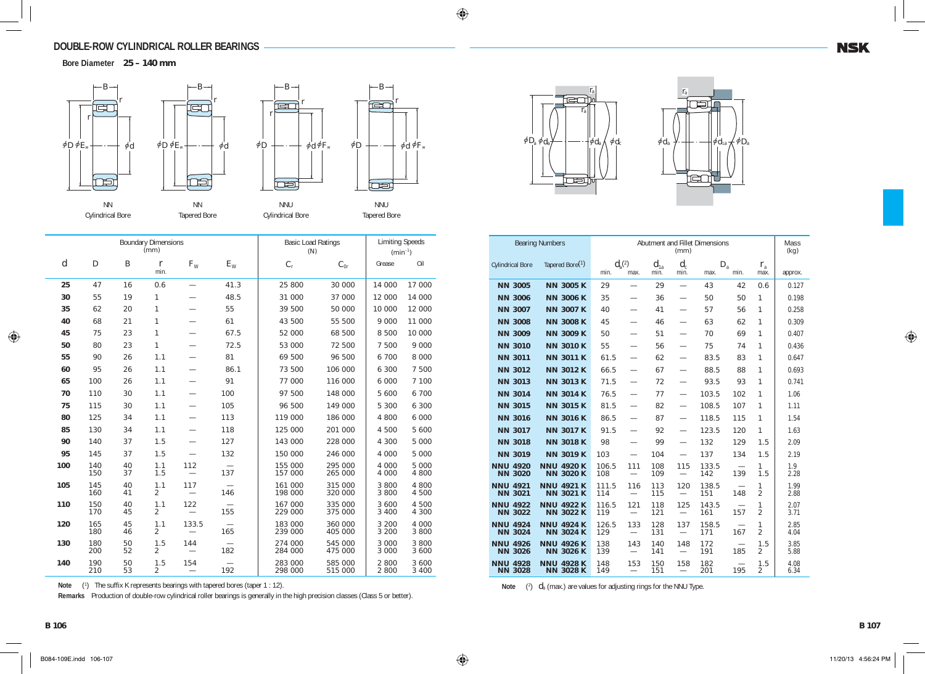# **DOUBLE-ROW CYLINDRICAL ROLLER BEARINGS**

**Bore Diameter 25 – 140 mm**



|                  | <b>Boundary Dimensions</b><br>(mm) |                  |                       |         |                                 | <b>Basic Load Ratings</b><br>(N) | <b>Limiting Speeds</b><br>$(min^{-1})$ |                  |                  |
|------------------|------------------------------------|------------------|-----------------------|---------|---------------------------------|----------------------------------|----------------------------------------|------------------|------------------|
| $\boldsymbol{d}$ | $\boldsymbol{D}$                   | $\boldsymbol{B}$ | $\mathbf{r}$<br>min.  | $F_{W}$ | $E_{\rm W}$                     | $C_{\rm r}$                      | $C_{0r}$                               | Grease           | Oil              |
| 25               | 47                                 | 16               | 0.6                   |         | 41.3                            | 25 800                           | 30 000                                 | 14 000           | 17 000           |
| 30               | 55                                 | 19               | 1                     |         | 48.5                            | 31 000                           | 37 000                                 | 12 000           | 14 000           |
| 35               | 62                                 | 20               | 1                     |         | 55                              | 39 500                           | 50 000                                 | 10 000           | 12 000           |
| 40               | 68                                 | 21               | 1                     |         | 61                              | 43 500                           | 55 500                                 | 9 0 0 0          | 11 000           |
| 45               | 75                                 | 23               | 1                     |         | 67.5                            | 52 000                           | 68 500                                 | 8 500            | 10 000           |
| 50               | 80                                 | 23               | 1                     |         | 72.5                            | 53 000                           | 72 500                                 | 7 500            | 9 0 0 0          |
| 55               | 90                                 | 26               | 1.1                   |         | 81                              | 69 500                           | 96 500                                 | 6 700            | 8 0 0 0          |
| 60               | 95                                 | 26               | 1.1                   |         | 86.1                            | 73 500                           | 106 000                                | 6 300            | 7 500            |
| 65               | 100                                | 26               | 1.1                   |         | 91                              | 77 000                           | 116 000                                | 6 000            | 7 100            |
| 70               | 110                                | 30               | 1.1                   |         | 100                             | 97 500                           | 148 000                                | 5 600            | 6 700            |
| 75               | 115                                | 30               | 1.1                   |         | 105                             | 96 500                           | 149 000                                | 5 300            | 6 300            |
| 80               | 125                                | 34               | 1.1                   |         | 113                             | 119 000                          | 186 000                                | 4 800            | 6 0 0 0          |
| 85               | 130                                | 34               | 1.1                   |         | 118                             | 125 000                          | 201 000                                | 4 500            | 5 600            |
| 90               | 140                                | 37               | 1.5                   |         | 127                             | 143 000                          | 228 000                                | 4 300            | 5 0 0 0          |
| 95               | 145                                | 37               | 1.5                   |         | 132                             | 150 000                          | 246 000                                | 4 000            | 5 000            |
| 100              | 140<br>150                         | 40<br>37         | 1.1<br>1.5            | 112     | 137                             | 155 000<br>157 000               | 295 000<br>265 000                     | 4 000<br>4 000   | 5 0 0 0<br>4 800 |
| 105              | 145<br>160                         | 40<br>41         | 1.1<br>2              | 117     | 146                             | 161 000<br>198 000               | 315 000<br>320 000                     | 3 800<br>3 800   | 4 800<br>4 500   |
| 110              | 150<br>170                         | 40<br>45         | 1.1<br>$\overline{2}$ | 122     | 155                             | 167 000<br>229 000               | 335 000<br>375 000                     | 3 600<br>3 4 0 0 | 4 500<br>4 300   |
| 120              | 165<br>180                         | 45<br>46         | 1.1<br>$\overline{2}$ | 133.5   | 165                             | 183 000<br>239 000               | 360 000<br>405 000                     | 3 200<br>3 200   | 4 0 0 0<br>3 800 |
| 130              | 180<br>200                         | 50<br>52         | 1.5<br>2              | 144     | $\overline{\phantom{0}}$<br>182 | 274 000<br>284 000               | 545 000<br>475 000                     | 3 000<br>3 000   | 3 800<br>3 600   |
| 140              | 190<br>210                         | 50<br>53         | 1.5<br>$\overline{2}$ | 154     | 192                             | 283 000<br>298 000               | 585 000<br>515 000                     | 2 800<br>2 800   | 3 600<br>3 400   |

Note (<sup>1</sup>) The suffix K represents bearings with tapered bores (taper 1 : 12).

**Remarks** Production of double-row cylindrical roller bearings is generally in the high precision classes (Class 5 or better).





| <b>Bearing Numbers</b>            | Abutment and Fillet Dimensions<br>(mm) |              |                                 |                  |                                        |                     |      | Mass<br>(kq)          |              |
|-----------------------------------|----------------------------------------|--------------|---------------------------------|------------------|----------------------------------------|---------------------|------|-----------------------|--------------|
| <b>Cylindrical Bore</b>           | Tapered Bore <sup>(1)</sup>            | min.         | $d_{a}^{(2)}$<br>max.           | $d_{1a}$<br>min. | $d_{c}$<br>min.                        | $D_{\rm a}$<br>max. | min. | $r_{\rm a}$<br>max.   | approx.      |
| <b>NN 3005</b>                    | <b>NN 3005 K</b>                       | 29           |                                 | 29               |                                        | 43                  | 42   | 0.6                   | 0.127        |
| <b>NN 3006</b>                    | <b>NN 3006 K</b>                       | 35           |                                 | 36               |                                        | 50                  | 50   | 1                     | 0.198        |
| <b>NN 3007</b>                    | <b>NN 3007 K</b>                       | 40           | $\overline{\phantom{0}}$        | 41               |                                        | 57                  | 56   | 1                     | 0.258        |
| <b>NN 3008</b>                    | <b>NN 3008 K</b>                       | 45           |                                 | 46               |                                        | 63                  | 62   | 1                     | 0.309        |
| <b>NN 3009</b>                    | <b>NN 3009 K</b>                       | 50           |                                 | 51               |                                        | 70                  | 69   | 1                     | 0.407        |
| <b>NN 3010</b>                    | <b>NN 3010 K</b>                       | 55           | $\overline{\phantom{0}}$        | 56               | $\overline{\phantom{0}}$               | 75                  | 74   | 1                     | 0.436        |
| <b>NN 3011</b>                    | <b>NN 3011 K</b>                       | 61.5         |                                 | 62               |                                        | 83.5                | 83   | 1                     | 0.647        |
| <b>NN 3012</b>                    | <b>NN 3012 K</b>                       | 66.5         |                                 | 67               |                                        | 88.5                | 88   | 1                     | 0.693        |
| <b>NN 3013</b>                    | <b>NN 3013 K</b>                       | 71.5         | $\overline{\phantom{0}}$        | 72               | $\overline{\phantom{0}}$               | 93.5                | 93   | 1                     | 0.741        |
| <b>NN 3014</b>                    | <b>NN 3014 K</b>                       | 76.5         | $\overline{\phantom{0}}$        | 77               | $\overline{\phantom{0}}$               | 103.5               | 102  | 1                     | 1.06         |
| <b>NN 3015</b>                    | <b>NN 3015 K</b>                       | 81.5         | $\overline{\phantom{0}}$        | 82               | $\overline{\phantom{0}}$               | 108.5               | 107  | 1                     | 1.11         |
| <b>NN 3016</b>                    | <b>NN 3016 K</b>                       | 86.5         | $\overline{\phantom{0}}$        | 87               | $\overline{\phantom{0}}$               | 118.5               | 115  | 1                     | 1.54         |
| <b>NN 3017</b>                    | <b>NN 3017 K</b>                       | 91.5         |                                 | 92               |                                        | 123.5               | 120  | 1                     | 1.63         |
| <b>NN 3018</b>                    | <b>NN 3018 K</b>                       | 98           | $\overline{\phantom{0}}$        | 99               | $\overline{\phantom{0}}$               | 132                 | 129  | 1.5                   | 2.09         |
| <b>NN 3019</b>                    | <b>NN 3019 K</b>                       | 103          | $\overline{\phantom{0}}$        | 104              |                                        | 137                 | 134  | 1.5                   | 2.19         |
| <b>NNU 4920</b><br><b>NN 3020</b> | <b>NNU 4920 K</b><br><b>NN 3020 K</b>  | 106.5<br>108 | 111                             | 108<br>109       | 115                                    | 133.5<br>142        | 139  | 1<br>1.5              | 1.9<br>2.28  |
| <b>NNU 4921</b><br><b>NN 3021</b> | <b>NNU 4921 K</b><br><b>NN 3021 K</b>  | 111.5<br>114 | 116                             | 113<br>115       | 120<br>$\overline{\phantom{0}}$        | 138.5<br>151        | 148  | 1<br>$\mathfrak{D}$   | 1.99<br>2.88 |
| <b>NNU 4922</b><br><b>NN 3022</b> | <b>NNU 4922 K</b><br><b>NN 3022 K</b>  | 116.5<br>119 | 121                             | 118<br>121       | 125<br>$\overline{\phantom{0}}$        | 143.5<br>161        | 157  | 1<br>$\mathfrak{D}$   | 2.07<br>3.71 |
| <b>NNU 4924</b><br><b>NN 3024</b> | <b>NNU 4924 K</b><br><b>NN 3024 K</b>  | 126.5<br>129 | 133                             | 128<br>131       | 137                                    | 158.5<br>171        | 167  | 1<br>$\mathfrak{D}$   | 2.85<br>4.04 |
| <b>NNU 4926</b><br><b>NN 3026</b> | <b>NNU 4926 K</b><br><b>NN 3026 K</b>  | 138<br>139   | 143<br>$\overline{\phantom{m}}$ | 140<br>141       | 148<br>$\overbrace{\qquad \qquad }^{}$ | 172<br>191          | 185  | 1.5<br>$\overline{2}$ | 3.85<br>5.88 |
| <b>NNU 4928</b><br><b>NN 3028</b> | <b>NNU 4928 K</b><br><b>NN 3028 K</b>  | 148<br>149   | 153                             | 150<br>151       | 158<br>$\overline{\phantom{0}}$        | 182<br>201          | 195  | 1.5<br>$\overline{2}$ | 4.08<br>6.34 |

**Note**  $\ell$ <sup>2</sup>)  $d$ <sub>a</sub> (max.) are values for adjusting rings for the NNU Type.